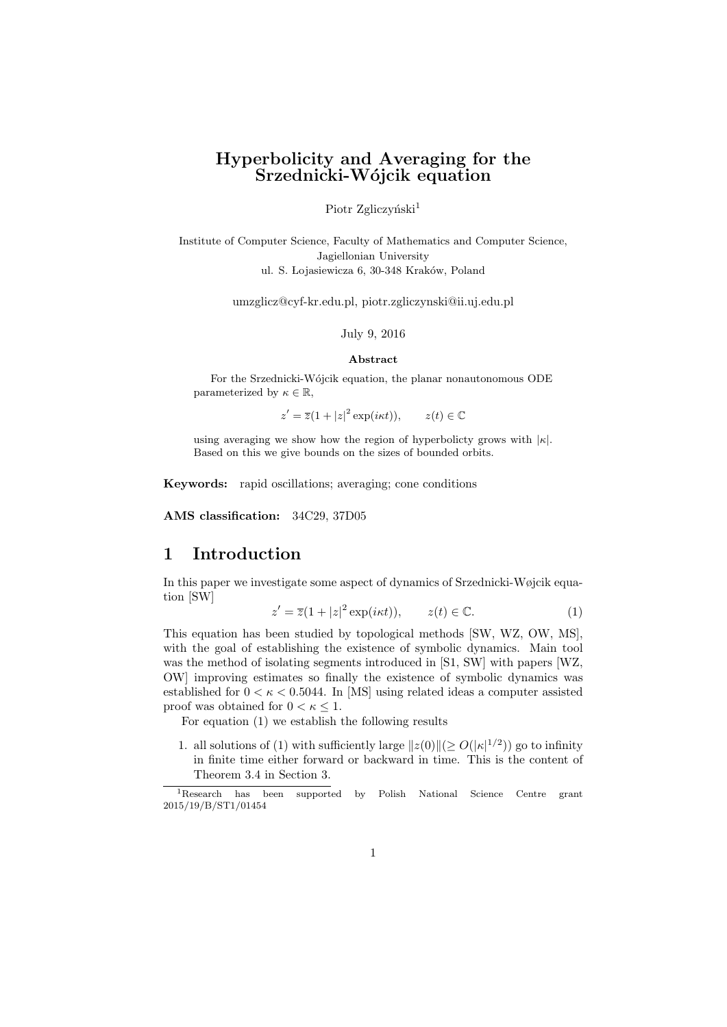# **Hyperbolicity and Averaging for the Srzednicki-W´ojcik equation**

### Piotr Zgliczyński<sup>1</sup>

Institute of Computer Science, Faculty of Mathematics and Computer Science, Jagiellonian University ul. S. Lojasiewicza 6, 30-348 Kraków, Poland

umzglicz@cyf-kr.edu.pl, piotr.zgliczynski@ii.uj.edu.pl

### July 9, 2016

### **Abstract**

For the Srzednicki-Wójcik equation, the planar nonautonomous ODE parameterized by  $\kappa \in \mathbb{R}$ ,

 $z' = \overline{z}(1 + |z|^2 \exp(i\kappa t)), \qquad z(t) \in \mathbb{C}$ 

using averaging we show how the region of hyperbolicty grows with *|κ|*. Based on this we give bounds on the sizes of bounded orbits.

**Keywords:** rapid oscillations; averaging; cone conditions

**AMS classification:** 34C29, 37D05

# **1 Introduction**

In this paper we investigate some aspect of dynamics of Srzednicki-Wøjcik equation [SW]

$$
z' = \overline{z}(1+|z|^2 \exp(ikt)), \qquad z(t) \in \mathbb{C}.\tag{1}
$$

This equation has been studied by topological methods [SW, WZ, OW, MS], with the goal of establishing the existence of symbolic dynamics. Main tool was the method of isolating segments introduced in [S1, SW] with papers [WZ, OW] improving estimates so finally the existence of symbolic dynamics was established for  $0 < \kappa < 0.5044$ . In [MS] using related ideas a computer assisted proof was obtained for  $0 < \kappa \leq 1$ .

For equation (1) we establish the following results

1. all solutions of (1) with sufficiently large  $||z(0)|| \ge O(|\kappa|^{1/2})$  go to infinity in finite time either forward or backward in time. This is the content of Theorem 3.4 in Section 3.

<sup>1</sup>Research has been supported by Polish National Science Centre grant 2015/19/B/ST1/01454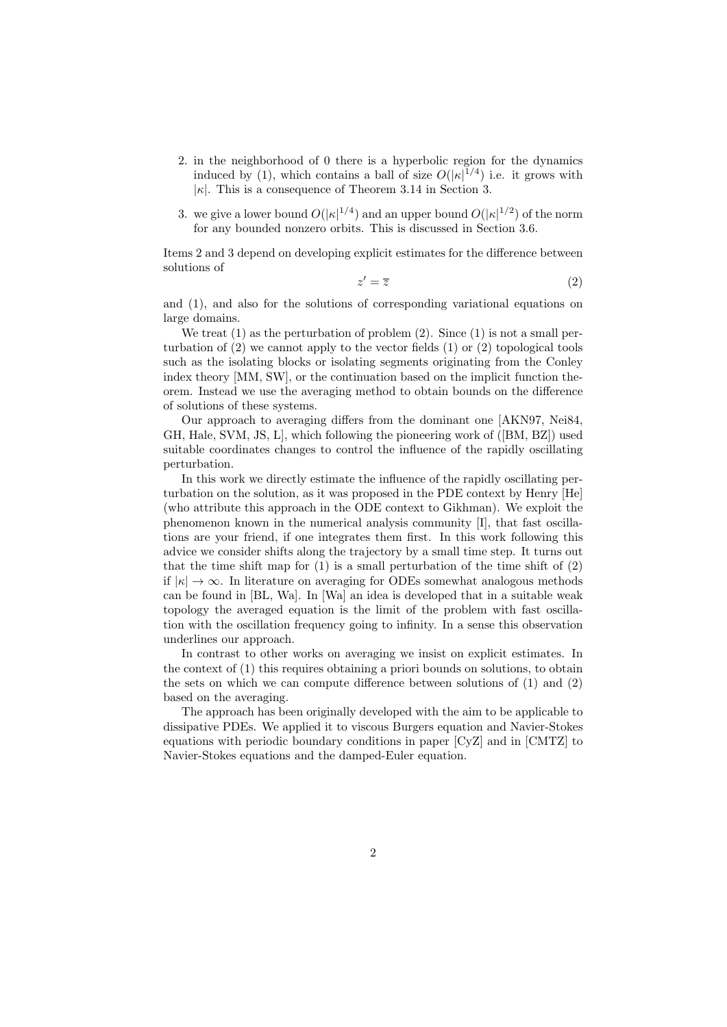- 2. in the neighborhood of 0 there is a hyperbolic region for the dynamics induced by (1), which contains a ball of size  $O(|\kappa|^{1/4})$  i.e. it grows with *|κ|*. This is a consequence of Theorem 3.14 in Section 3.
- 3. we give a lower bound  $O(|\kappa|^{1/4})$  and an upper bound  $O(|\kappa|^{1/2})$  of the norm for any bounded nonzero orbits. This is discussed in Section 3.6.

Items 2 and 3 depend on developing explicit estimates for the difference between solutions of

$$
z' = \overline{z} \tag{2}
$$

and (1), and also for the solutions of corresponding variational equations on large domains.

We treat  $(1)$  as the perturbation of problem  $(2)$ . Since  $(1)$  is not a small perturbation of  $(2)$  we cannot apply to the vector fields  $(1)$  or  $(2)$  topological tools such as the isolating blocks or isolating segments originating from the Conley index theory [MM, SW], or the continuation based on the implicit function theorem. Instead we use the averaging method to obtain bounds on the difference of solutions of these systems.

Our approach to averaging differs from the dominant one [AKN97, Nei84, GH, Hale, SVM, JS, L], which following the pioneering work of ([BM, BZ]) used suitable coordinates changes to control the influence of the rapidly oscillating perturbation.

In this work we directly estimate the influence of the rapidly oscillating perturbation on the solution, as it was proposed in the PDE context by Henry [He] (who attribute this approach in the ODE context to Gikhman). We exploit the phenomenon known in the numerical analysis community [I], that fast oscillations are your friend, if one integrates them first. In this work following this advice we consider shifts along the trajectory by a small time step. It turns out that the time shift map for  $(1)$  is a small perturbation of the time shift of  $(2)$ if  $|\kappa| \to \infty$ . In literature on averaging for ODEs somewhat analogous methods can be found in [BL, Wa]. In [Wa] an idea is developed that in a suitable weak topology the averaged equation is the limit of the problem with fast oscillation with the oscillation frequency going to infinity. In a sense this observation underlines our approach.

In contrast to other works on averaging we insist on explicit estimates. In the context of (1) this requires obtaining a priori bounds on solutions, to obtain the sets on which we can compute difference between solutions of (1) and (2) based on the averaging.

The approach has been originally developed with the aim to be applicable to dissipative PDEs. We applied it to viscous Burgers equation and Navier-Stokes equations with periodic boundary conditions in paper [CyZ] and in [CMTZ] to Navier-Stokes equations and the damped-Euler equation.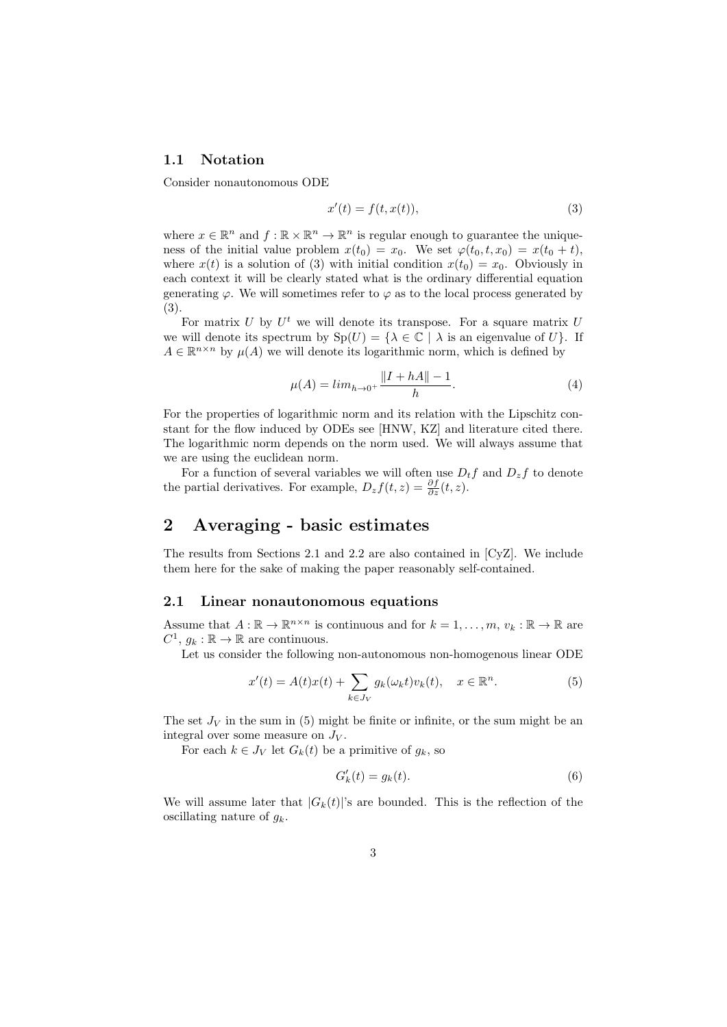### **1.1 Notation**

Consider nonautonomous ODE

$$
x'(t) = f(t, x(t)),\tag{3}
$$

where  $x \in \mathbb{R}^n$  and  $f : \mathbb{R} \times \mathbb{R}^n \to \mathbb{R}^n$  is regular enough to guarantee the uniqueness of the initial value problem  $x(t_0) = x_0$ . We set  $\varphi(t_0, t, x_0) = x(t_0 + t)$ , where  $x(t)$  is a solution of (3) with initial condition  $x(t_0) = x_0$ . Obviously in each context it will be clearly stated what is the ordinary differential equation generating  $\varphi$ . We will sometimes refer to  $\varphi$  as to the local process generated by (3).

For matrix  $U$  by  $U^t$  we will denote its transpose. For a square matrix  $U$ we will denote its spectrum by  $\text{Sp}(U) = \{ \lambda \in \mathbb{C} \mid \lambda \text{ is an eigenvalue of } U \}.$  If  $A \in \mathbb{R}^{n \times n}$  by  $\mu(A)$  we will denote its logarithmic norm, which is defined by

$$
\mu(A) = \lim_{h \to 0^+} \frac{\|I + hA\| - 1}{h}.\tag{4}
$$

For the properties of logarithmic norm and its relation with the Lipschitz constant for the flow induced by ODEs see [HNW, KZ] and literature cited there. The logarithmic norm depends on the norm used. We will always assume that we are using the euclidean norm.

For a function of several variables we will often use  $D_t f$  and  $D_z f$  to denote the partial derivatives. For example,  $D_z f(t, z) = \frac{\partial f}{\partial z}(t, z)$ .

# **2 Averaging - basic estimates**

The results from Sections 2.1 and 2.2 are also contained in [CyZ]. We include them here for the sake of making the paper reasonably self-contained.

### **2.1 Linear nonautonomous equations**

Assume that  $A : \mathbb{R} \to \mathbb{R}^{n \times n}$  is continuous and for  $k = 1, \ldots, m, v_k : \mathbb{R} \to \mathbb{R}$  are  $C^1$ ,  $g_k : \mathbb{R} \to \mathbb{R}$  are continuous.

Let us consider the following non-autonomous non-homogenous linear ODE

$$
x'(t) = A(t)x(t) + \sum_{k \in J_V} g_k(\omega_k t) v_k(t), \quad x \in \mathbb{R}^n.
$$
 (5)

The set  $J_V$  in the sum in (5) might be finite or infinite, or the sum might be an integral over some measure on  $J_V$ .

For each  $k \in J_V$  let  $G_k(t)$  be a primitive of  $g_k$ , so

$$
G'_k(t) = g_k(t). \tag{6}
$$

We will assume later that  $|G_k(t)|$ 's are bounded. This is the reflection of the oscillating nature of *gk*.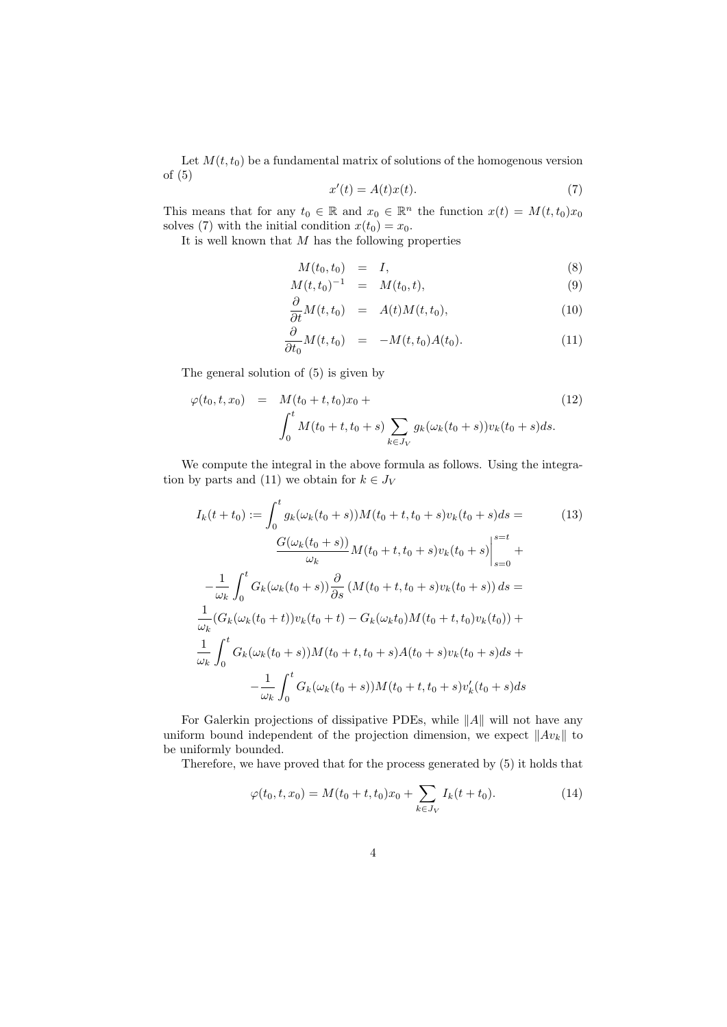Let  $M(t, t_0)$  be a fundamental matrix of solutions of the homogenous version of (5)

$$
x'(t) = A(t)x(t).
$$
\n(7)

This means that for any  $t_0 \in \mathbb{R}$  and  $x_0 \in \mathbb{R}^n$  the function  $x(t) = M(t, t_0)x_0$ solves (7) with the initial condition  $x(t_0) = x_0$ .

It is well known that *M* has the following properties

$$
M(t_0, t_0) = I, \tag{8}
$$

$$
M(t, t_0)^{-1} = M(t_0, t), \tag{9}
$$

$$
\frac{\partial}{\partial t}M(t,t_0) = A(t)M(t,t_0), \qquad (10)
$$

$$
\frac{\partial}{\partial t_0} M(t, t_0) = -M(t, t_0) A(t_0). \tag{11}
$$

The general solution of (5) is given by

$$
\varphi(t_0, t, x_0) = M(t_0 + t, t_0)x_0 + \int_0^t M(t_0 + t, t_0 + s) \sum_{k \in J_V} g_k(\omega_k(t_0 + s)) v_k(t_0 + s) ds.
$$
\n(12)

We compute the integral in the above formula as follows. Using the integration by parts and (11) we obtain for  $k \in J_V$ 

$$
I_k(t+t_0) := \int_0^t g_k(\omega_k(t_0+s))M(t_0+t,t_0+s)v_k(t_0+s)ds =
$$
\n
$$
\frac{G(\omega_k(t_0+s))}{\omega_k}M(t_0+t,t_0+s)v_k(t_0+s)\Big|_{s=0}^{s=t} +
$$
\n
$$
-\frac{1}{\omega_k} \int_0^t G_k(\omega_k(t_0+s))\frac{\partial}{\partial s}(M(t_0+t,t_0+s)v_k(t_0+s))ds =
$$
\n
$$
\frac{1}{\omega_k} (G_k(\omega_k(t_0+t))v_k(t_0+t) - G_k(\omega_k t_0)M(t_0+t,t_0)v_k(t_0)) +
$$
\n
$$
\frac{1}{\omega_k} \int_0^t G_k(\omega_k(t_0+s))M(t_0+t,t_0+s)A(t_0+s)v_k(t_0+s)ds +
$$
\n
$$
-\frac{1}{\omega_k} \int_0^t G_k(\omega_k(t_0+s))M(t_0+t,t_0+s)v_k'(t_0+s)ds
$$
\n(13)

For Galerkin projections of dissipative PDEs, while *∥A∥* will not have any uniform bound independent of the projection dimension, we expect *∥Avk∥* to be uniformly bounded.

Therefore, we have proved that for the process generated by (5) it holds that

$$
\varphi(t_0, t, x_0) = M(t_0 + t, t_0)x_0 + \sum_{k \in J_V} I_k(t + t_0).
$$
\n(14)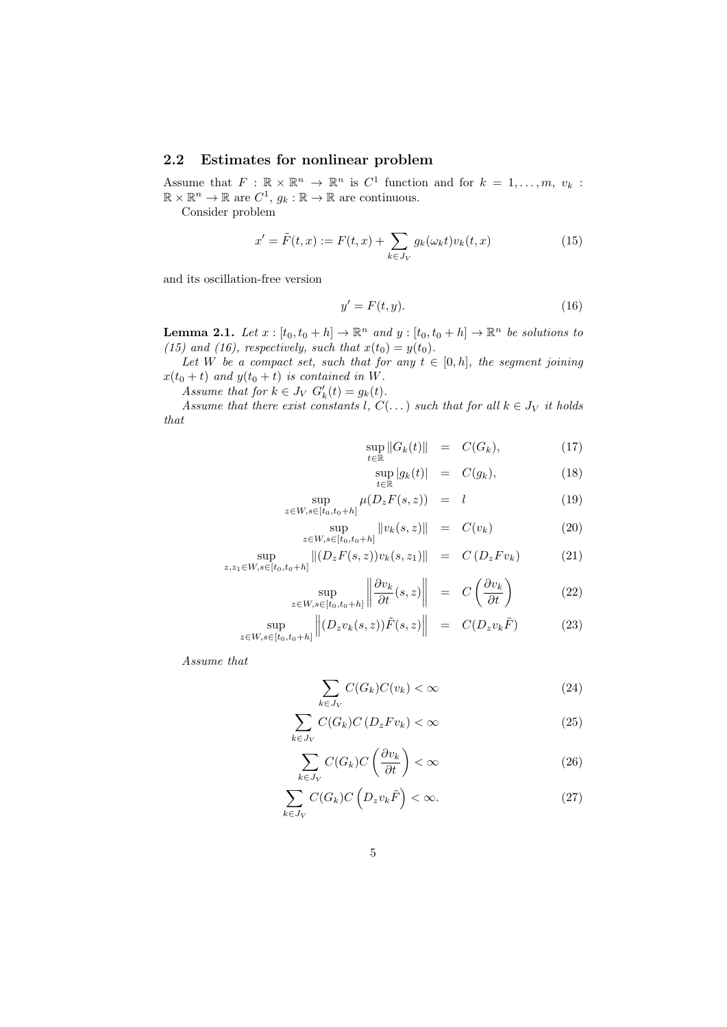# **2.2 Estimates for nonlinear problem**

Assume that  $F: \mathbb{R} \times \mathbb{R}^n \to \mathbb{R}^n$  is  $C^1$  function and for  $k = 1, \ldots, m, v_k$ :  $\mathbb{R} \times \mathbb{R}^n \to \mathbb{R}$  are  $C^1$ ,  $g_k : \mathbb{R} \to \mathbb{R}$  are continuous.

Consider problem

$$
x' = \tilde{F}(t, x) := F(t, x) + \sum_{k \in J_V} g_k(\omega_k t) v_k(t, x)
$$
\n(15)

and its oscillation-free version

$$
y' = F(t, y). \tag{16}
$$

**Lemma 2.1.** *Let*  $x : [t_0, t_0 + h] \to \mathbb{R}^n$  *and*  $y : [t_0, t_0 + h] \to \mathbb{R}^n$  *be solutions to* (15) and (16), respectively, such that  $x(t_0) = y(t_0)$ .

*Let W be a compact set, such that for any*  $t \in [0, h]$ *, the segment joining*  $x(t_0 + t)$  *and*  $y(t_0 + t)$  *is contained in W.* 

*Assume that for*  $k \in J_V$   $G'_{k}(t) = g_{k}(t)$ .

*Assume that there exist constants l*,  $C(\ldots)$  *such that for all*  $k \in J_V$  *it holds that*

$$
\sup_{t \in \mathbb{R}} \|G_k(t)\| = C(G_k), \tag{17}
$$

$$
\sup_{t \in \mathbb{R}} |g_k(t)| = C(g_k), \tag{18}
$$

$$
\sup_{z \in W, s \in [t_0, t_0 + h]} \mu(D_z F(s, z)) = l \tag{19}
$$

$$
\sup_{z \in W, s \in [t_0, t_0 + h]} \|v_k(s, z)\| = C(v_k)
$$
\n(20)

$$
\sup_{z,z_1 \in W, s \in [t_0, t_0 + h]} \|(D_z F(s, z)) v_k(s, z_1)\| = C (D_z F v_k)
$$
\n(21)

$$
\sup_{z \in W, s \in [t_0, t_0 + h]} \left\| \frac{\partial v_k}{\partial t}(s, z) \right\| = C \left( \frac{\partial v_k}{\partial t} \right)
$$
(22)

$$
\sup_{z \in W, s \in [t_0, t_0 + h]} \left\| (D_z v_k(s, z)) \tilde{F}(s, z) \right\| = C(D_z v_k \tilde{F}) \tag{23}
$$

*Assume that*

$$
\sum_{k \in J_V} C(G_k) C(v_k) < \infty \tag{24}
$$

$$
\sum_{k \in J_V} C(G_k) C(D_z F v_k) < \infty \tag{25}
$$

$$
\sum_{k \in J_V} C(G_k) C\left(\frac{\partial v_k}{\partial t}\right) < \infty \tag{26}
$$

$$
\sum_{k \in J_V} C(G_k) C\left(D_z v_k \tilde{F}\right) < \infty. \tag{27}
$$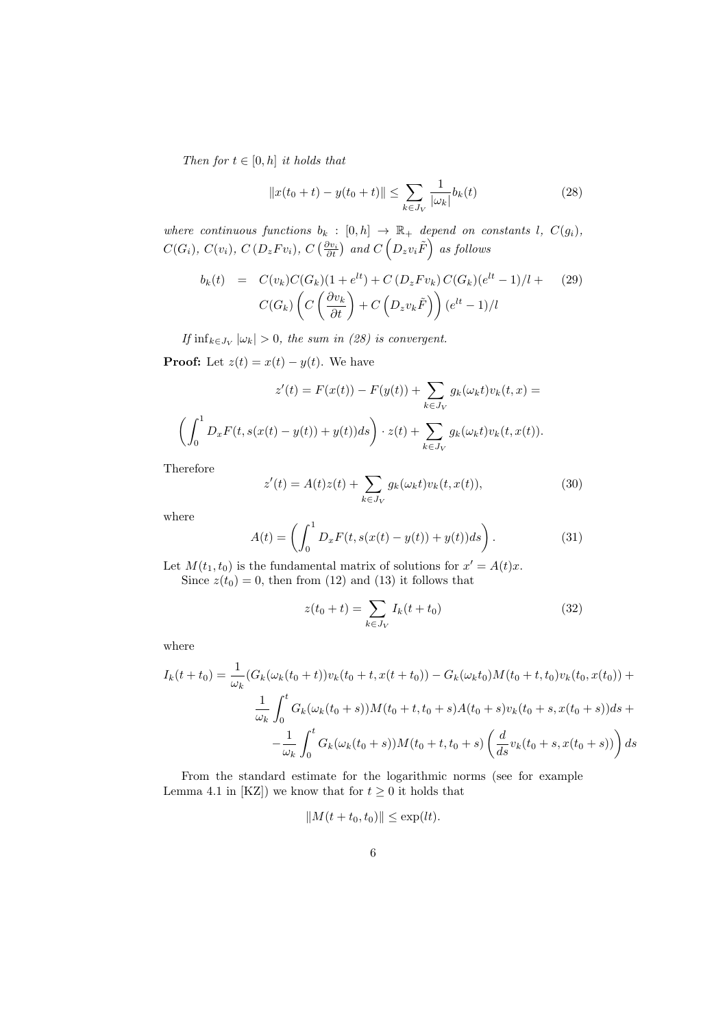*Then for*  $t \in [0, h]$  *it holds that* 

$$
||x(t_0 + t) - y(t_0 + t)|| \le \sum_{k \in J_V} \frac{1}{|\omega_k|} b_k(t)
$$
\n(28)

*where continuous functions*  $b_k : [0, h] \rightarrow \mathbb{R}_+$  *depend on constants l*,  $C(g_i)$ *,*  $C(G_i), C(v_i), C(D_z Fv_i), C(\frac{\partial v_i}{\partial t})$  and  $C(D_z v_i \tilde{F})$  as follows

$$
b_k(t) = C(v_k)C(G_k)(1+e^{lt}) + C(D_zFv_k)C(G_k)(e^{lt}-1)/l + (29)
$$

$$
C(G_k)\left(C\left(\frac{\partial v_k}{\partial t}\right) + C\left(D_zv_k\tilde{F}\right)\right)(e^{lt}-1)/l
$$

*If*  $\inf_{k \in J_V} |\omega_k| > 0$ , the sum in (28) is convergent.

**Proof:** Let  $z(t) = x(t) - y(t)$ . We have

$$
z'(t) = F(x(t)) - F(y(t)) + \sum_{k \in J_V} g_k(\omega_k t) v_k(t, x) =
$$

$$
\left(\int_0^1 D_x F(t, s(x(t) - y(t)) + y(t)) ds\right) \cdot z(t) + \sum_{k \in J_V} g_k(\omega_k t) v_k(t, x(t)).
$$

Therefore

$$
z'(t) = A(t)z(t) + \sum_{k \in J_V} g_k(\omega_k t) v_k(t, x(t)),
$$
\n(30)

where

$$
A(t) = \left(\int_0^1 D_x F(t, s(x(t) - y(t)) + y(t))ds\right).
$$
 (31)

Let  $M(t_1, t_0)$  is the fundamental matrix of solutions for  $x' = A(t)x$ . Since  $z(t_0) = 0$ , then from (12) and (13) it follows that

$$
z(t_0 + t) = \sum_{k \in J_V} I_k(t + t_0)
$$
\n(32)

where

$$
I_k(t+t_0) = \frac{1}{\omega_k} (G_k(\omega_k(t_0+t))v_k(t_0+t, x(t+t_0)) - G_k(\omega_k t_0)M(t_0+t, t_0)v_k(t_0, x(t_0)) +
$$
  

$$
\frac{1}{\omega_k} \int_0^t G_k(\omega_k(t_0+s))M(t_0+t, t_0+s)A(t_0+s)v_k(t_0+s, x(t_0+s))ds +
$$
  

$$
-\frac{1}{\omega_k} \int_0^t G_k(\omega_k(t_0+s))M(t_0+t, t_0+s) \left(\frac{d}{ds}v_k(t_0+s, x(t_0+s))\right)ds
$$

From the standard estimate for the logarithmic norms (see for example Lemma 4.1 in [KZ]) we know that for  $t \geq 0$  it holds that

$$
||M(t+t_0,t_0)|| \le \exp(lt).
$$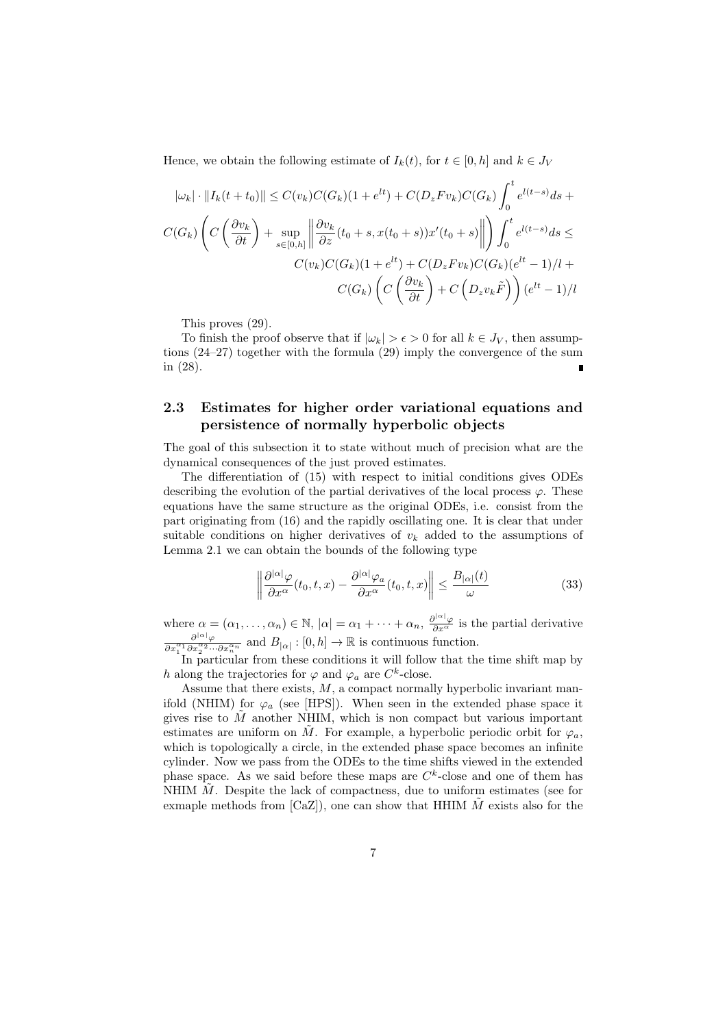Hence, we obtain the following estimate of  $I_k(t)$ , for  $t \in [0, h]$  and  $k \in J_V$ 

$$
|\omega_k| \cdot ||I_k(t+t_0)|| \le C(v_k)C(G_k)(1+e^{lt}) + C(D_zFv_k)C(G_k)\int_0^t e^{l(t-s)}ds + C(G_k)\left(C\left(\frac{\partial v_k}{\partial t}\right) + \sup_{s \in [0,h]} \left\|\frac{\partial v_k}{\partial z}(t_0+s, x(t_0+s))x'(t_0+s)\right\|\right) \int_0^t e^{l(t-s)}ds \le C(v_k)C(G_k)(1+e^{lt}) + C(D_zFv_k)C(G_k)(e^{lt}-1)/l + C(G_k)\left(C\left(\frac{\partial v_k}{\partial t}\right) + C\left(D_zv_k\tilde{F}\right)\right)(e^{lt}-1)/l
$$

This proves (29).

To finish the proof observe that if  $|\omega_k| > \epsilon > 0$  for all  $k \in J_V$ , then assumptions (24–27) together with the formula (29) imply the convergence of the sum in (28).

# **2.3 Estimates for higher order variational equations and persistence of normally hyperbolic objects**

The goal of this subsection it to state without much of precision what are the dynamical consequences of the just proved estimates.

The differentiation of (15) with respect to initial conditions gives ODEs describing the evolution of the partial derivatives of the local process  $\varphi$ . These equations have the same structure as the original ODEs, i.e. consist from the part originating from (16) and the rapidly oscillating one. It is clear that under suitable conditions on higher derivatives of  $v_k$  added to the assumptions of Lemma 2.1 we can obtain the bounds of the following type

$$
\left\| \frac{\partial^{|\alpha|} \varphi}{\partial x^{\alpha}}(t_0, t, x) - \frac{\partial^{|\alpha|} \varphi_a}{\partial x^{\alpha}}(t_0, t, x) \right\| \le \frac{B_{|\alpha|}(t)}{\omega} \tag{33}
$$

where  $\alpha = (\alpha_1, ..., \alpha_n) \in \mathbb{N}$ ,  $|\alpha| = \alpha_1 + \cdots + \alpha_n$ ,  $\frac{\partial^{|\alpha|} \varphi}{\partial x^{\alpha}}$  is the partial derivative  $\frac{\partial^{|\alpha|} \varphi}{\partial x_1^{\alpha_1} \partial x_2^{\alpha_2} \cdots \partial x_n^{\alpha_n}}$  and  $B_{|\alpha|} : [0, h] \to \mathbb{R}$  is continuous function.

In particular from these conditions it will follow that the time shift map by *h* along the trajectories for  $\varphi$  and  $\varphi_a$  are *C*<sup>k</sup>-close.

Assume that there exists, *M*, a compact normally hyperbolic invariant manifold (NHIM) for  $\varphi_a$  (see [HPS]). When seen in the extended phase space it gives rise to *M*˜ another NHIM, which is non compact but various important estimates are uniform on  $\tilde{M}$ . For example, a hyperbolic periodic orbit for  $\varphi_a$ , which is topologically a circle, in the extended phase space becomes an infinite cylinder. Now we pass from the ODEs to the time shifts viewed in the extended phase space. As we said before these maps are  $C<sup>k</sup>$ -close and one of them has NHIM  $\tilde{M}$ . Despite the lack of compactness, due to uniform estimates (see for exmaple methods from  $\lbrack CaZ\rbrack$ , one can show that HHIM  $\tilde{M}$  exists also for the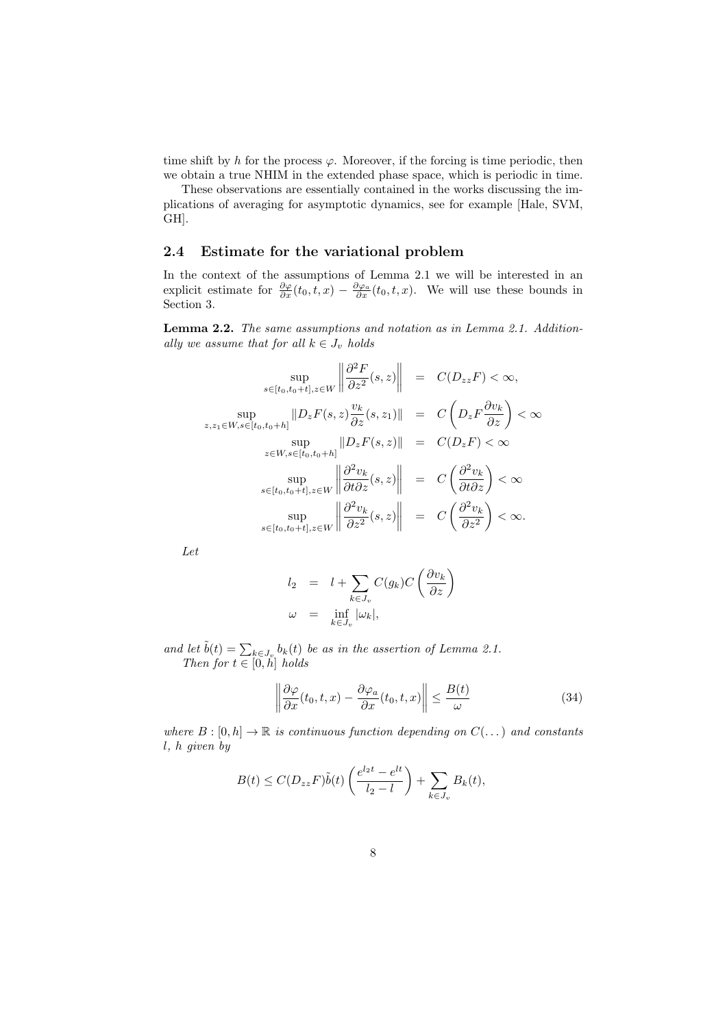time shift by *h* for the process  $\varphi$ . Moreover, if the forcing is time periodic, then we obtain a true NHIM in the extended phase space, which is periodic in time.

These observations are essentially contained in the works discussing the implications of averaging for asymptotic dynamics, see for example [Hale, SVM, GH].

### **2.4 Estimate for the variational problem**

In the context of the assumptions of Lemma 2.1 we will be interested in an explicit estimate for  $\frac{\partial \varphi}{\partial x}(t_0, t, x) - \frac{\partial \varphi_a}{\partial x}(t_0, t, x)$ . We will use these bounds in Section 3.

**Lemma 2.2.** *The same assumptions and notation as in Lemma 2.1. Additionally we assume that for all*  $k \in J_v$  *holds* 

 $\sim$   $\sim$ 

$$
\sup_{s \in [t_0, t_0 + t], z \in W} \left\| \frac{\partial^2 F}{\partial z^2}(s, z) \right\| = C(D_{zz}F) < \infty,
$$
  
\n
$$
\sup_{z, z_1 \in W, s \in [t_0, t_0 + h]} \|D_z F(s, z) \frac{v_k}{\partial z}(s, z_1)\| = C\left(D_z F \frac{\partial v_k}{\partial z}\right) < \infty
$$
  
\n
$$
\sup_{z \in W, s \in [t_0, t_0 + h]} \|D_z F(s, z)\| = C(D_z F) < \infty
$$
  
\n
$$
\sup_{s \in [t_0, t_0 + t], z \in W} \left\| \frac{\partial^2 v_k}{\partial t \partial z}(s, z) \right\| = C\left(\frac{\partial^2 v_k}{\partial t \partial z}\right) < \infty
$$
  
\n
$$
\sup_{s \in [t_0, t_0 + t], z \in W} \left\| \frac{\partial^2 v_k}{\partial z^2}(s, z) \right\| = C\left(\frac{\partial^2 v_k}{\partial z^2}\right) < \infty.
$$

*Let*

$$
l_2 = l + \sum_{k \in J_v} C(g_k) C\left(\frac{\partial v_k}{\partial z}\right)
$$
  

$$
\omega = \inf_{k \in J_v} |\omega_k|,
$$

*and let*  $\tilde{b}(t) = \sum_{k \in J_y} b_k(t)$  *be as in the assertion of Lemma 2.1. Then for*  $t \in [0, h]$  *holds* 

$$
\left\|\frac{\partial\varphi}{\partial x}(t_0, t, x) - \frac{\partial\varphi_a}{\partial x}(t_0, t, x)\right\| \le \frac{B(t)}{\omega} \tag{34}
$$

*where*  $B : [0, h] \to \mathbb{R}$  *is continuous function depending on*  $C(\ldots)$  *and constants l, h given by*

$$
B(t) \leq C(D_{zz}F)\tilde{b}(t)\left(\frac{e^{l_2t}-e^{lt}}{l_2-l}\right) + \sum_{k \in J_v} B_k(t),
$$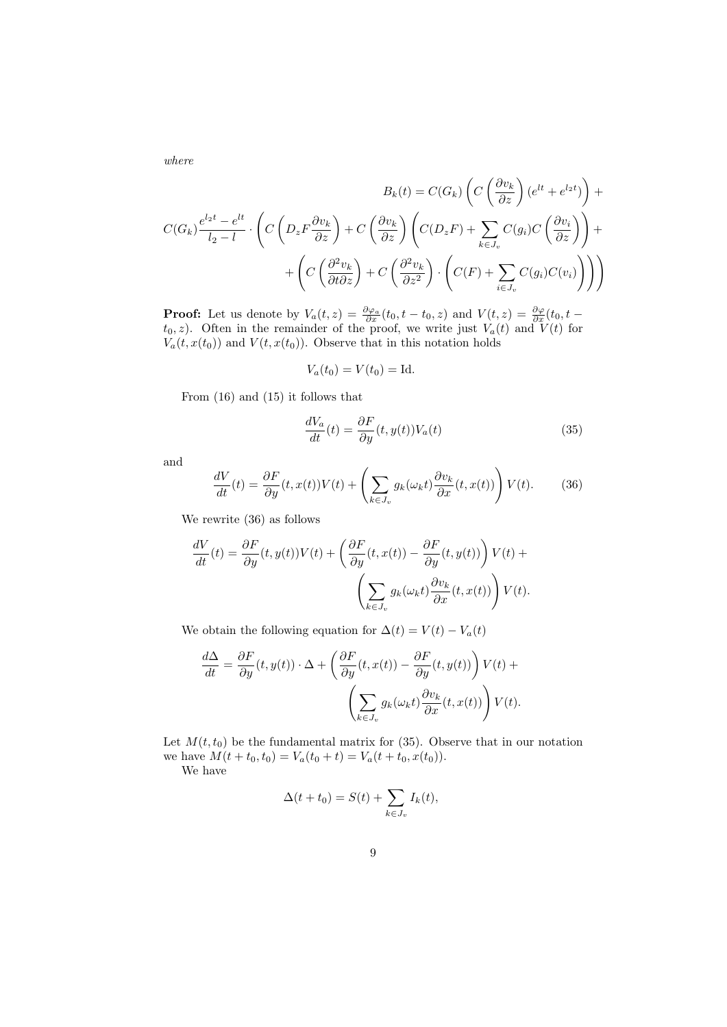*where*

$$
B_k(t) = C(G_k) \left( C\left(\frac{\partial v_k}{\partial z}\right) (e^{lt} + e^{l_2 t}) \right) + C(G_k) \frac{e^{l_2 t} - e^{lt}}{l_2 - l} \cdot \left( C\left(D_z F \frac{\partial v_k}{\partial z}\right) + C\left(\frac{\partial v_k}{\partial z}\right) \left(C(D_z F) + \sum_{k \in J_v} C(g_i) C\left(\frac{\partial v_i}{\partial z}\right) \right) + \right)
$$

$$
+ \left( C\left(\frac{\partial^2 v_k}{\partial t \partial z}\right) + C\left(\frac{\partial^2 v_k}{\partial z^2}\right) \cdot \left(C(F) + \sum_{i \in J_v} C(g_i) C(v_i) \right) \right) \right)
$$

**Proof:** Let us denote by  $V_a(t, z) = \frac{\partial \varphi_a}{\partial x}(t_0, t - t_0, z)$  and  $V(t, z) = \frac{\partial \varphi}{\partial x}(t_0, t - t_0, z)$  $t_0, z$ ). Often in the remainder of the proof, we write just  $V_a(t)$  and  $V(t)$  for  $V_a(t, x(t_0))$  and  $V(t, x(t_0))$ . Observe that in this notation holds

$$
V_a(t_0) = V(t_0) = \mathrm{Id}.
$$

From (16) and (15) it follows that

$$
\frac{dV_a}{dt}(t) = \frac{\partial F}{\partial y}(t, y(t))V_a(t)
$$
\n(35)

and

$$
\frac{dV}{dt}(t) = \frac{\partial F}{\partial y}(t, x(t))V(t) + \left(\sum_{k \in J_v} g_k(\omega_k t) \frac{\partial v_k}{\partial x}(t, x(t))\right) V(t).
$$
(36)

We rewrite (36) as follows

$$
\frac{dV}{dt}(t) = \frac{\partial F}{\partial y}(t, y(t))V(t) + \left(\frac{\partial F}{\partial y}(t, x(t)) - \frac{\partial F}{\partial y}(t, y(t))\right)V(t) + \left(\sum_{k \in J_v} g_k(\omega_k t) \frac{\partial v_k}{\partial x}(t, x(t))\right)V(t).
$$

We obtain the following equation for  $\Delta(t) = V(t) - V_a(t)$ 

$$
\frac{d\Delta}{dt} = \frac{\partial F}{\partial y}(t, y(t)) \cdot \Delta + \left(\frac{\partial F}{\partial y}(t, x(t)) - \frac{\partial F}{\partial y}(t, y(t))\right) V(t) + \left(\sum_{k \in J_v} g_k(\omega_k t) \frac{\partial v_k}{\partial x}(t, x(t))\right) V(t).
$$

Let  $M(t, t_0)$  be the fundamental matrix for (35). Observe that in our notation we have  $M(t + t_0, t_0) = V_a(t_0 + t) = V_a(t + t_0, x(t_0)).$ We have

$$
\Delta(t+t_0) = S(t) + \sum_{k \in J_v} I_k(t),
$$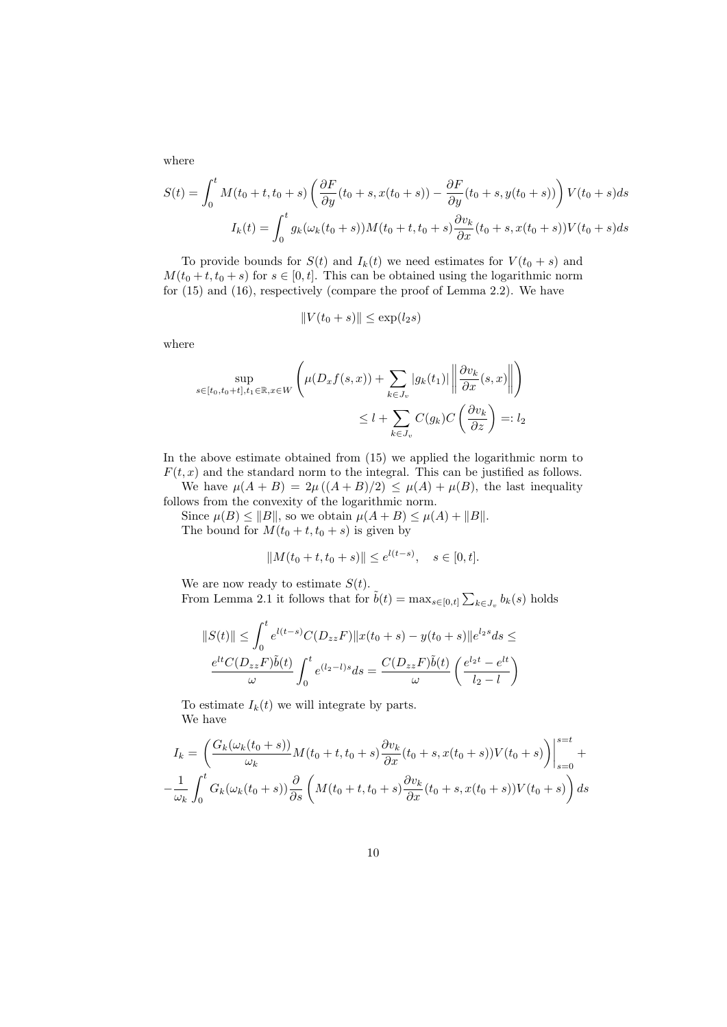where

$$
S(t) = \int_0^t M(t_0 + t, t_0 + s) \left( \frac{\partial F}{\partial y}(t_0 + s, x(t_0 + s)) - \frac{\partial F}{\partial y}(t_0 + s, y(t_0 + s)) \right) V(t_0 + s) ds
$$
  

$$
I_k(t) = \int_0^t g_k(\omega_k(t_0 + s)) M(t_0 + t, t_0 + s) \frac{\partial v_k}{\partial x}(t_0 + s, x(t_0 + s)) V(t_0 + s) ds
$$

To provide bounds for  $S(t)$  and  $I_k(t)$  we need estimates for  $V(t_0 + s)$  and  $M(t_0 + t, t_0 + s)$  for  $s \in [0, t]$ . This can be obtained using the logarithmic norm for (15) and (16), respectively (compare the proof of Lemma 2.2). We have

$$
||V(t_0+s)|| \le \exp(l_2s)
$$

where

$$
\sup_{s \in [t_0, t_0 + t], t_1 \in \mathbb{R}, x \in W} \left( \mu(D_x f(s, x)) + \sum_{k \in J_v} |g_k(t_1)| \left\| \frac{\partial v_k}{\partial x}(s, x) \right\| \right)
$$
  

$$
\leq l + \sum_{k \in J_v} C(g_k) C\left(\frac{\partial v_k}{\partial z}\right) =: l_2
$$

In the above estimate obtained from (15) we applied the logarithmic norm to  $F(t, x)$  and the standard norm to the integral. This can be justified as follows.

We have  $\mu(A + B) = 2\mu((A + B)/2) \leq \mu(A) + \mu(B)$ , the last inequality follows from the convexity of the logarithmic norm.

Since  $\mu(B) \le ||B||$ , so we obtain  $\mu(A + B) \le \mu(A) + ||B||$ . The bound for  $M(t_0 + t, t_0 + s)$  is given by

$$
||M(t_0 + t, t_0 + s)|| \le e^{l(t - s)}, \quad s \in [0, t].
$$

We are now ready to estimate  $S(t)$ .

From Lemma 2.1 it follows that for  $\tilde{b}(t) = \max_{s \in [0,t]} \sum_{k \in J_v} b_k(s)$  holds

$$
||S(t)|| \leq \int_0^t e^{l(t-s)} C(D_{zz}F) ||x(t_0+s) - y(t_0+s)||e^{l_2s} ds \leq
$$
  

$$
\frac{e^{lt} C(D_{zz}F)\tilde{b}(t)}{\omega} \int_0^t e^{(l_2-l)s} ds = \frac{C(D_{zz}F)\tilde{b}(t)}{\omega} \left(\frac{e^{l_2t} - e^{lt}}{l_2 - l}\right)
$$

To estimate  $I_k(t)$  we will integrate by parts. We have

$$
I_k = \left(\frac{G_k(\omega_k(t_0+s))}{\omega_k} M(t_0+t,t_0+s) \frac{\partial v_k}{\partial x}(t_0+s, x(t_0+s)) V(t_0+s)\right)\Big|_{s=0}^{s=t} + \frac{1}{\omega_k} \int_0^t G_k(\omega_k(t_0+s)) \frac{\partial}{\partial s} \left(M(t_0+t,t_0+s) \frac{\partial v_k}{\partial x}(t_0+s, x(t_0+s)) V(t_0+s)\right) ds
$$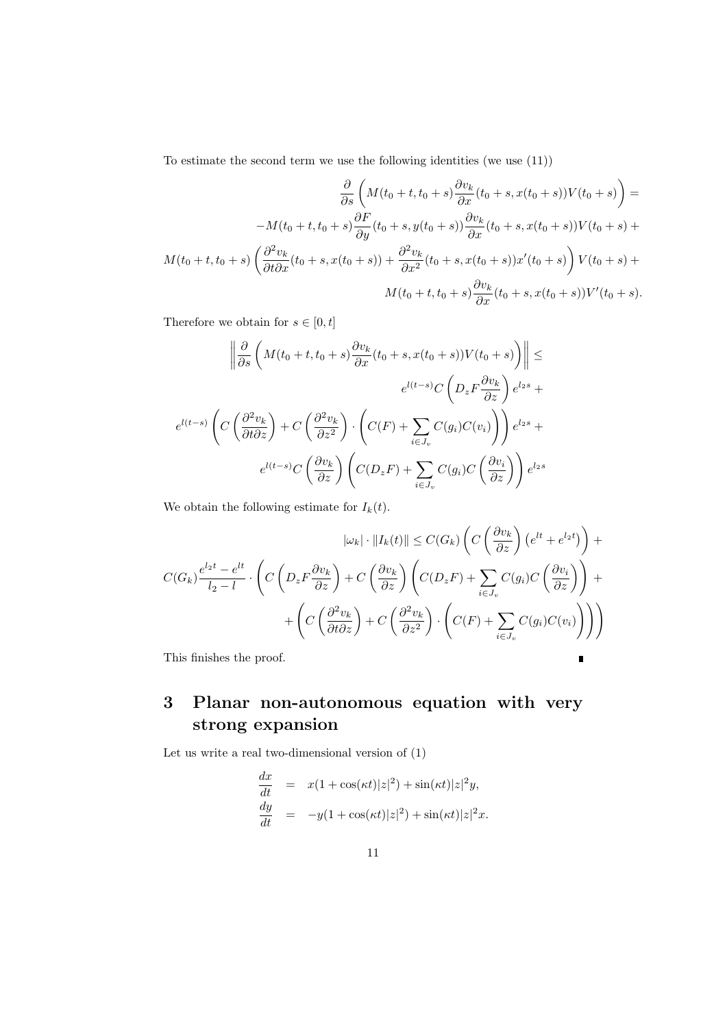To estimate the second term we use the following identities (we use (11))

$$
\frac{\partial}{\partial s} \left( M(t_0 + t, t_0 + s) \frac{\partial v_k}{\partial x} (t_0 + s, x(t_0 + s)) V(t_0 + s) \right) =
$$
  

$$
-M(t_0 + t, t_0 + s) \frac{\partial F}{\partial y} (t_0 + s, y(t_0 + s)) \frac{\partial v_k}{\partial x} (t_0 + s, x(t_0 + s)) V(t_0 + s) +
$$
  

$$
M(t_0 + t, t_0 + s) \left( \frac{\partial^2 v_k}{\partial t \partial x} (t_0 + s, x(t_0 + s)) + \frac{\partial^2 v_k}{\partial x^2} (t_0 + s, x(t_0 + s)) x'(t_0 + s) \right) V(t_0 + s) +
$$
  

$$
M(t_0 + t, t_0 + s) \frac{\partial v_k}{\partial x} (t_0 + s, x(t_0 + s)) V'(t_0 + s).
$$

Therefore we obtain for  $s \in [0,t]$ 

$$
\left\| \frac{\partial}{\partial s} \left( M(t_0 + t, t_0 + s) \frac{\partial v_k}{\partial x} (t_0 + s, x(t_0 + s)) V(t_0 + s) \right) \right\| \le
$$

$$
e^{l(t-s)} C \left( D_z F \frac{\partial v_k}{\partial z} \right) e^{l_2 s} +
$$

$$
e^{l(t-s)} \left( C \left( \frac{\partial^2 v_k}{\partial t \partial z} \right) + C \left( \frac{\partial^2 v_k}{\partial z^2} \right) \cdot \left( C(F) + \sum_{i \in J_v} C(g_i) C(v_i) \right) \right) e^{l_2 s} +
$$

$$
e^{l(t-s)} C \left( \frac{\partial v_k}{\partial z} \right) \left( C(D_z F) + \sum_{i \in J_v} C(g_i) C \left( \frac{\partial v_i}{\partial z} \right) \right) e^{l_2 s}
$$

We obtain the following estimate for  $I_k(t)$ .

$$
|\omega_k| \cdot ||I_k(t)|| \le C(G_k) \left( C\left(\frac{\partial v_k}{\partial z}\right) \left(e^{lt} + e^{l_2 t}\right) \right) + C(G_k) \frac{e^{l_2 t} - e^{lt}}{l_2 - l} \cdot \left( C\left(D_z F \frac{\partial v_k}{\partial z}\right) + C\left(\frac{\partial v_k}{\partial z}\right) \left(C(D_z F) + \sum_{i \in J_v} C(g_i) C\left(\frac{\partial v_i}{\partial z}\right)\right) + \left(C\left(\frac{\partial^2 v_k}{\partial t \partial z}\right) + C\left(\frac{\partial^2 v_k}{\partial z^2}\right) \cdot \left(C(F) + \sum_{i \in J_v} C(g_i) C(v_i)\right)\right) \right)
$$

 $\blacksquare$ 

This finishes the proof.

# **3 Planar non-autonomous equation with very strong expansion**

Let us write a real two-dimensional version of (1)

$$
\frac{dx}{dt} = x(1 + \cos(\kappa t)|z|^2) + \sin(\kappa t)|z|^2 y,
$$
  
\n
$$
\frac{dy}{dt} = -y(1 + \cos(\kappa t)|z|^2) + \sin(\kappa t)|z|^2 x.
$$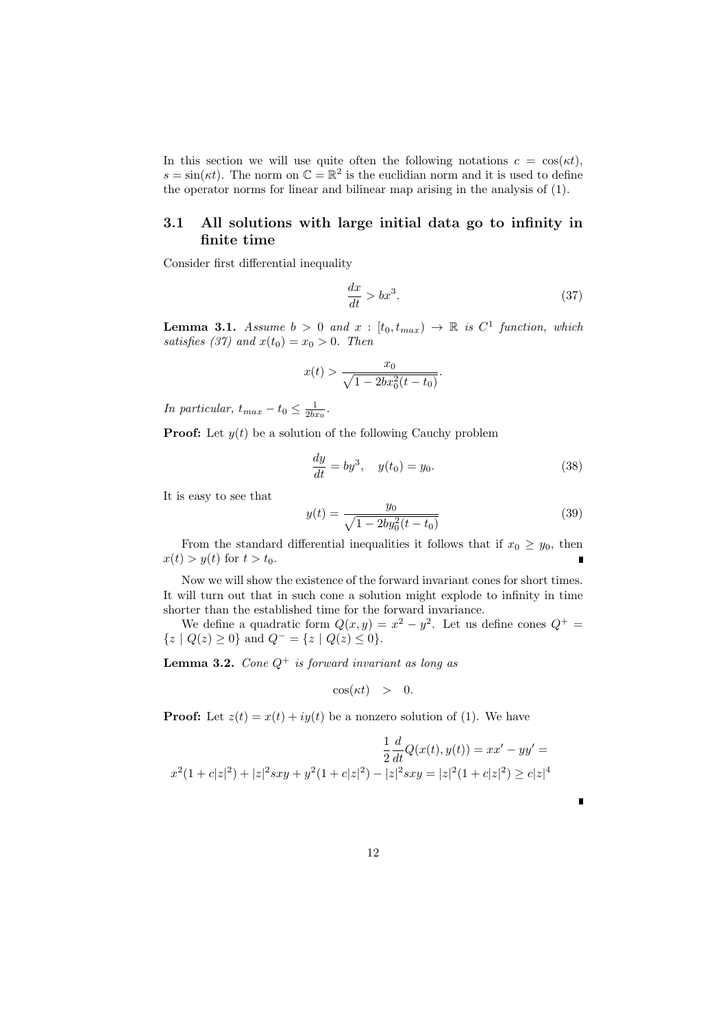In this section we will use quite often the following notations  $c = \cos(\kappa t)$ ,  $s = \sin(\kappa t)$ . The norm on  $\mathbb{C} = \mathbb{R}^2$  is the euclidian norm and it is used to define the operator norms for linear and bilinear map arising in the analysis of (1).

# **3.1 All solutions with large initial data go to infinity in finite time**

Consider first differential inequality

$$
\frac{dx}{dt} > bx^3. \tag{37}
$$

**Lemma 3.1.** *Assume*  $b > 0$  *and*  $x : [t_0, t_{max}) \rightarrow \mathbb{R}$  *is*  $C^1$  *function, which satisfies (37)* and  $x(t_0) = x_0 > 0$ . Then

$$
x(t) > \frac{x_0}{\sqrt{1 - 2bx_0^2(t - t_0)}}.
$$

*In particular,*  $t_{max} - t_0 \leq \frac{1}{2bx_0}$ .

**Proof:** Let  $y(t)$  be a solution of the following Cauchy problem

$$
\frac{dy}{dt} = by^3, \quad y(t_0) = y_0.
$$
 (38)

It is easy to see that

$$
y(t) = \frac{y_0}{\sqrt{1 - 2by_0^2(t - t_0)}}
$$
(39)

From the standard differential inequalities it follows that if  $x_0 \geq y_0$ , then  $x(t) > y(t)$  for  $t > t_0$ .

Now we will show the existence of the forward invariant cones for short times. It will turn out that in such cone a solution might explode to infinity in time shorter than the established time for the forward invariance.

We define a quadratic form  $Q(x, y) = x^2 - y^2$ . Let us define cones  $Q^+$  $\{z \mid Q(z) \geq 0\}$  and  $Q^{-} = \{z \mid Q(z) \leq 0\}.$ 

**Lemma 3.2.** *Cone Q*<sup>+</sup> *is forward invariant as long as*

$$
\cos(\kappa t) > 0.
$$

**Proof:** Let  $z(t) = x(t) + iy(t)$  be a nonzero solution of (1). We have

$$
\frac{1}{2}\frac{d}{dt}Q(x(t),y(t)) = xx' - yy' = x^2(1 + c|z|^2) + |z|^2 sxy + y^2(1 + c|z|^2) - |z|^2 sxy = |z|^2(1 + c|z|^2) \ge c|z|^4
$$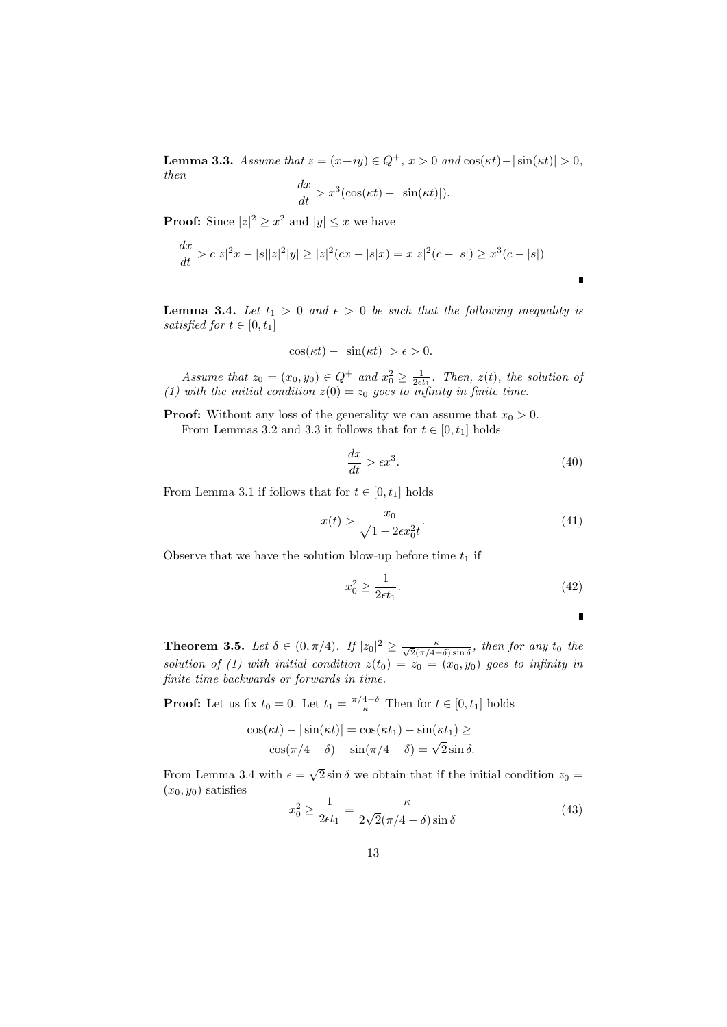**Lemma 3.3.** *Assume that*  $z = (x+iy) \in Q^+, x > 0$  *and*  $\cos(\kappa t) - |\sin(\kappa t)| > 0$ , *then*

$$
\frac{dx}{dt} > x^3(\cos(\kappa t) - |\sin(\kappa t)|).
$$

**Proof:** Since  $|z|^2 \ge x^2$  and  $|y| \le x$  we have

$$
\frac{dx}{dt} > c|z|^2x - |s||z|^2|y| \ge |z|^2(cx - |s|x) = x|z|^2(c - |s|) \ge x^3(c - |s|)
$$

**Lemma 3.4.** *Let*  $t_1 > 0$  *and*  $\epsilon > 0$  *be such that the following inequality is satisfied for*  $t \in [0, t_1]$ 

$$
\cos(\kappa t) - |\sin(\kappa t)| > \epsilon > 0.
$$

*Assume that*  $z_0 = (x_0, y_0) \in Q^+$  *and*  $x_0^2 \ge \frac{1}{2\epsilon t_1}$ *. Then,*  $z(t)$ *, the solution of (1) with the initial condition*  $z(0) = z_0$  goes to infinity in finite time.

**Proof:** Without any loss of the generality we can assume that  $x_0 > 0$ .

From Lemmas 3.2 and 3.3 it follows that for  $t \in [0, t_1]$  holds

$$
\frac{dx}{dt} > \epsilon x^3. \tag{40}
$$

From Lemma 3.1 if follows that for  $t \in [0, t_1]$  holds

$$
x(t) > \frac{x_0}{\sqrt{1 - 2\epsilon x_0^2 t}}.\tag{41}
$$

Observe that we have the solution blow-up before time  $t_1$  if

$$
x_0^2 \ge \frac{1}{2\epsilon t_1}.\tag{42}
$$

п

**Theorem 3.5.** *Let*  $\delta \in (0, \pi/4)$ *. If*  $|z_0|^2 \ge \frac{\kappa}{\sqrt{2}(\pi/4 - \delta)\sin \delta}$ *, then for any t*<sub>0</sub> *the solution of (1) with initial condition*  $z(t_0) = z_0 = (x_0, y_0)$  goes to infinity in *finite time backwards or forwards in time.*

**Proof:** Let us fix  $t_0 = 0$ . Let  $t_1 = \frac{\pi/4 - \delta}{\kappa}$  Then for  $t \in [0, t_1]$  holds

$$
\cos(\kappa t) - |\sin(\kappa t)| = \cos(\kappa t_1) - \sin(\kappa t_1) \ge
$$
  

$$
\cos(\pi/4 - \delta) - \sin(\pi/4 - \delta) = \sqrt{2} \sin \delta.
$$

From Lemma 3.4 with  $\epsilon = \sqrt{2} \sin \delta$  we obtain that if the initial condition  $z_0 =$  $(x_0, y_0)$  satisfies

$$
x_0^2 \ge \frac{1}{2\epsilon t_1} = \frac{\kappa}{2\sqrt{2}(\pi/4 - \delta)\sin\delta} \tag{43}
$$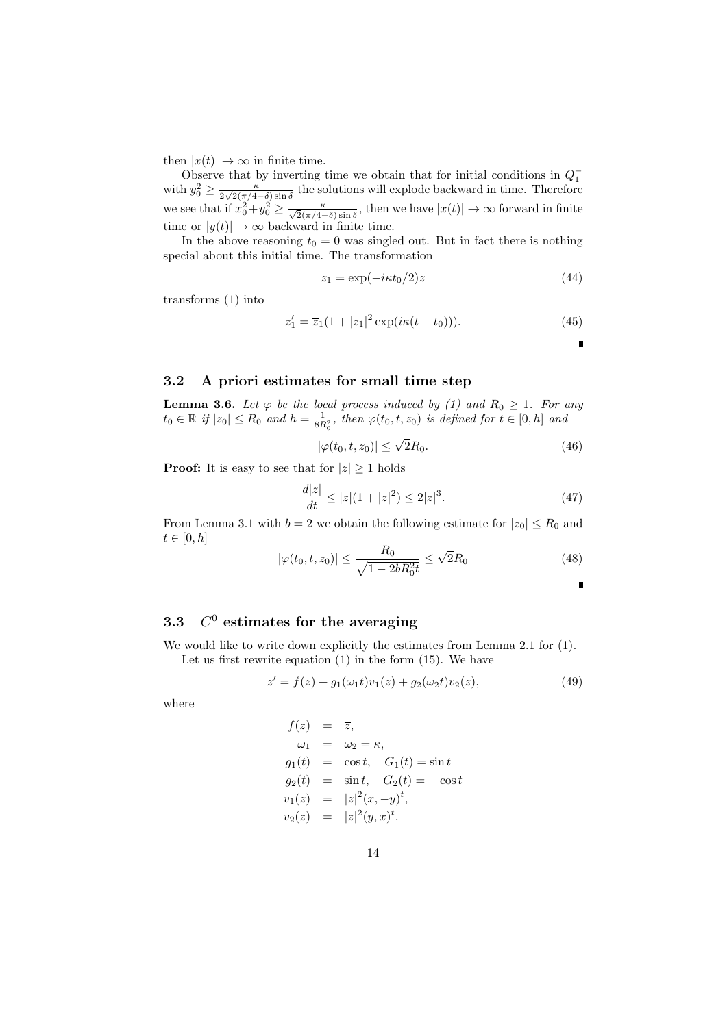then  $|x(t)| \to \infty$  in finite time.

Observe that by inverting time we obtain that for initial conditions in  $Q_1^$ with  $y_0^2 \geq \frac{\kappa}{2\sqrt{2}(\pi/4)}$  $\frac{\kappa}{2\sqrt{2}(\pi/4-\delta)\sin\delta}$  the solutions will explode backward in time. Therefore we see that if  $x_0^2 + y_0^2 \ge \frac{\kappa}{\sqrt{2}(\pi/4 - \delta)\sin \delta}$ , then we have  $|x(t)| \to \infty$  forward in finite time or  $|y(t)| \to \infty$  backward in finite time.

In the above reasoning  $t_0 = 0$  was singled out. But in fact there is nothing special about this initial time. The transformation

$$
z_1 = \exp(-i\kappa t_0/2)z\tag{44}
$$

transforms (1) into

$$
z_1' = \overline{z}_1(1+|z_1|^2 \exp(i\kappa(t-t_0))).
$$
 (45)

п

п

# **3.2 A priori estimates for small time step**

**Lemma 3.6.** *Let*  $\varphi$  *be the local process induced by (1) and*  $R_0 \geq 1$ *. For any*  $t_0 \in \mathbb{R}$  *if*  $|z_0| \le R_0$  *and*  $h = \frac{1}{8R_0^2}$ , *then*  $\varphi(t_0, t, z_0)$  *is defined for*  $t \in [0, h]$  *and* 

$$
|\varphi(t_0, t, z_0)| \le \sqrt{2}R_0. \tag{46}
$$

**Proof:** It is easy to see that for  $|z| \geq 1$  holds

$$
\frac{d|z|}{dt} \le |z|(1+|z|^2) \le 2|z|^3. \tag{47}
$$

From Lemma 3.1 with  $b = 2$  we obtain the following estimate for  $|z_0| \le R_0$  and  $t \in [0, h]$ 

$$
|\varphi(t_0, t, z_0)| \le \frac{R_0}{\sqrt{1 - 2bR_0^2 t}} \le \sqrt{2}R_0
$$
\n(48)

#### **3.3** *C*  $C<sup>0</sup>$  estimates for the averaging

We would like to write down explicitly the estimates from Lemma 2.1 for (1). Let us first rewrite equation  $(1)$  in the form  $(15)$ . We have

$$
z' = f(z) + g_1(\omega_1 t)v_1(z) + g_2(\omega_2 t)v_2(z), \tag{49}
$$

where

$$
f(z) = \overline{z},
$$
  
\n
$$
\omega_1 = \omega_2 = \kappa,
$$
  
\n
$$
g_1(t) = \cos t, \quad G_1(t) = \sin t
$$
  
\n
$$
g_2(t) = \sin t, \quad G_2(t) = -\cos t
$$
  
\n
$$
v_1(z) = |z|^2 (x, -y)^t,
$$
  
\n
$$
v_2(z) = |z|^2 (y, x)^t.
$$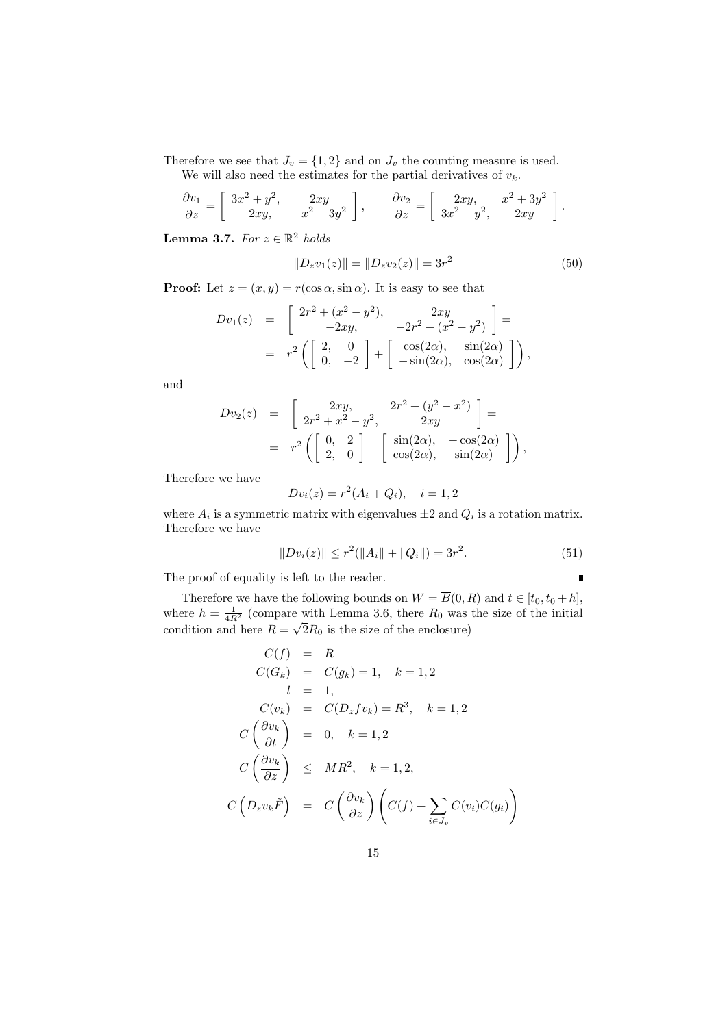Therefore we see that  $J_v = \{1, 2\}$  and on  $J_v$  the counting measure is used. We will also need the estimates for the partial derivatives of  $v_k$ .

$$
\frac{\partial v_1}{\partial z} = \begin{bmatrix} 3x^2 + y^2, & 2xy \\ -2xy, & -x^2 - 3y^2 \end{bmatrix}, \qquad \frac{\partial v_2}{\partial z} = \begin{bmatrix} 2xy, & x^2 + 3y^2 \\ 3x^2 + y^2, & 2xy \end{bmatrix}.
$$

**Lemma 3.7.** *For*  $z \in \mathbb{R}^2$  *holds* 

$$
||D_z v_1(z)|| = ||D_z v_2(z)|| = 3r^2
$$
\n(50)

**Proof:** Let  $z = (x, y) = r(\cos \alpha, \sin \alpha)$ . It is easy to see that

$$
Dv_1(z) = \begin{bmatrix} 2r^2 + (x^2 - y^2), & 2xy \\ -2xy, & -2r^2 + (x^2 - y^2) \end{bmatrix} =
$$
  
=  $r^2 \left( \begin{bmatrix} 2, & 0 \\ 0, & -2 \end{bmatrix} + \begin{bmatrix} \cos(2\alpha), & \sin(2\alpha) \\ -\sin(2\alpha), & \cos(2\alpha) \end{bmatrix} \right)$ ,

and

$$
Dv_2(z) = \begin{bmatrix} 2xy, & 2r^2 + (y^2 - x^2) \ 2r^2 + x^2 - y^2, & 2xy \end{bmatrix} =
$$
  
=  $r^2 \begin{pmatrix} 0, & 2 \ 2, & 0 \end{pmatrix} + \begin{bmatrix} \sin(2\alpha), & -\cos(2\alpha) \\ \cos(2\alpha), & \sin(2\alpha) \end{bmatrix}$ 

Therefore we have

$$
Dv_i(z) = r^2(A_i + Q_i), \quad i = 1, 2
$$

where  $A_i$  is a symmetric matrix with eigenvalues  $\pm 2$  and  $Q_i$  is a rotation matrix. Therefore we have

$$
||Dv_i(z)|| \le r^2(||A_i|| + ||Q_i||) = 3r^2.
$$
\n(51)

 $\setminus$ 

 $\blacksquare$ 

The proof of equality is left to the reader.

Therefore we have the following bounds on  $W = B(0, R)$  and  $t \in [t_0, t_0 + h]$ , where  $h = \frac{1}{4R^2}$  (compare with Lemma 3.6, there  $R_0$  was the size of the initial condition and here  $R = \sqrt{2R_0}$  is the size of the enclosure)

$$
C(f) = R
$$
  
\n
$$
C(G_k) = C(g_k) = 1, \quad k = 1, 2
$$
  
\n
$$
l = 1,
$$
  
\n
$$
C(v_k) = C(D_z f v_k) = R^3, \quad k = 1, 2
$$
  
\n
$$
C\left(\frac{\partial v_k}{\partial t}\right) = 0, \quad k = 1, 2
$$
  
\n
$$
C\left(\frac{\partial v_k}{\partial z}\right) \le MR^2, \quad k = 1, 2,
$$
  
\n
$$
C\left(D_z v_k \tilde{F}\right) = C\left(\frac{\partial v_k}{\partial z}\right) \left(C(f) + \sum_{i \in J_v} C(v_i) C(g_i)\right)
$$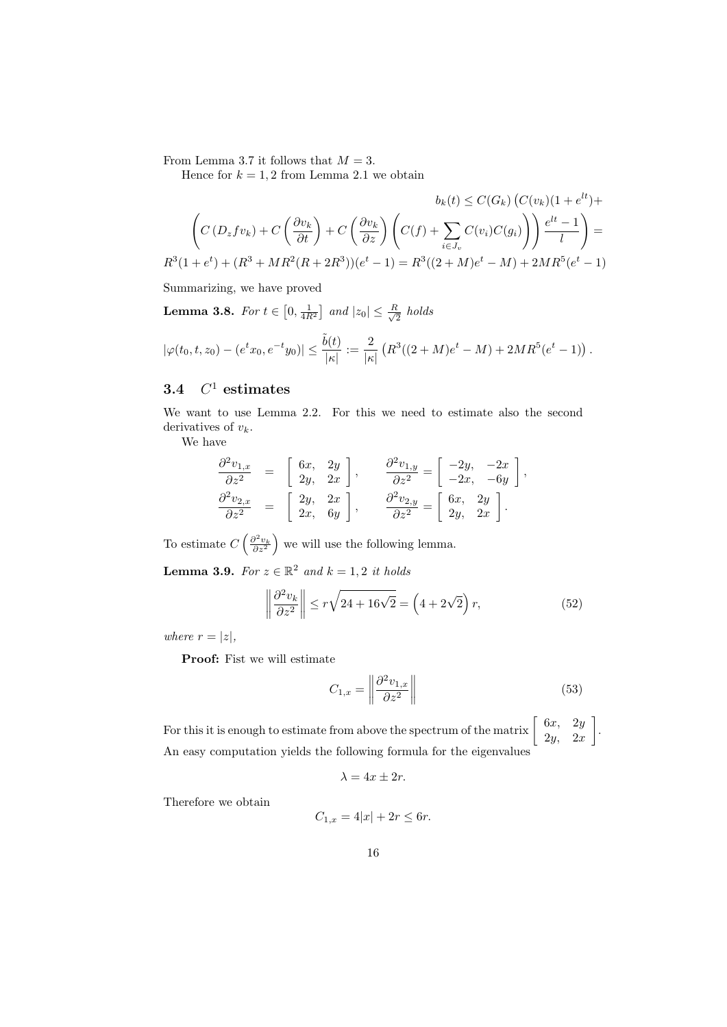From Lemma 3.7 it follows that  $M = 3$ .

Hence for  $k = 1, 2$  from Lemma 2.1 we obtain

$$
b_k(t) \le C(G_k) (C(v_k)(1 + e^{lt}) +
$$

$$
\left(C(D_z f v_k) + C\left(\frac{\partial v_k}{\partial t}\right) + C\left(\frac{\partial v_k}{\partial z}\right) \left(C(f) + \sum_{i \in J_v} C(v_i) C(g_i)\right)\right) \frac{e^{lt} - 1}{l} =
$$

$$
R^3(1 + e^t) + (R^3 + MR^2(R + 2R^3))(e^t - 1) = R^3((2 + M)e^t - M) + 2MR^5(e^t - 1)
$$

Summarizing, we have proved

**Lemma 3.8.** *For*  $t \in [0, \frac{1}{4R^2}]$  *and*  $|z_0| \leq \frac{R}{\sqrt{2}}$  $rac{t}{2}$  *holds* 

$$
|\varphi(t_0,t,z_0)-(e^tx_0,e^{-t}y_0)|\leq \frac{\tilde{b}(t)}{|\kappa|}:=\frac{2}{|\kappa|}\left(R^3((2+M)e^t-M)+2MR^5(e^t-1)\right).
$$

# **3.4** *C* <sup>1</sup> **estimates**

We want to use Lemma 2.2. For this we need to estimate also the second derivatives of *vk*.

We have

$$
\begin{aligned}\n\frac{\partial^2 v_{1,x}}{\partial z^2} &= \begin{bmatrix} 6x, & 2y \\ 2y, & 2x \end{bmatrix}, & \frac{\partial^2 v_{1,y}}{\partial z^2} &= \begin{bmatrix} -2y, & -2x \\ -2x, & -6y \end{bmatrix}, \\
\frac{\partial^2 v_{2,x}}{\partial z^2} &= \begin{bmatrix} 2y, & 2x \\ 2x, & 6y \end{bmatrix}, & \frac{\partial^2 v_{2,y}}{\partial z^2} &= \begin{bmatrix} 6x, & 2y \\ 2y, & 2x \end{bmatrix}.\n\end{aligned}
$$

To estimate  $C\left(\frac{\partial^2 v_k}{\partial z^2}\right)$ ) we will use the following lemma.

**Lemma 3.9.** *For*  $z \in \mathbb{R}^2$  *and*  $k = 1, 2$  *it holds* 

$$
\left\|\frac{\partial^2 v_k}{\partial z^2}\right\| \le r\sqrt{24 + 16\sqrt{2}} = \left(4 + 2\sqrt{2}\right)r,\tag{52}
$$

*where*  $r = |z|$ ,

**Proof:** Fist we will estimate

$$
C_{1,x} = \left\| \frac{\partial^2 v_{1,x}}{\partial z^2} \right\| \tag{53}
$$

.

For this it is enough to estimate from above the spectrum of the matrix  $\begin{bmatrix} 6x & 2y \\ 2y & 2y \end{bmatrix}$ 2*y,* 2*x* ] An easy computation yields the following formula for the eigenvalues

$$
\lambda=4x\pm 2r.
$$

Therefore we obtain

$$
C_{1,x} = 4|x| + 2r \le 6r.
$$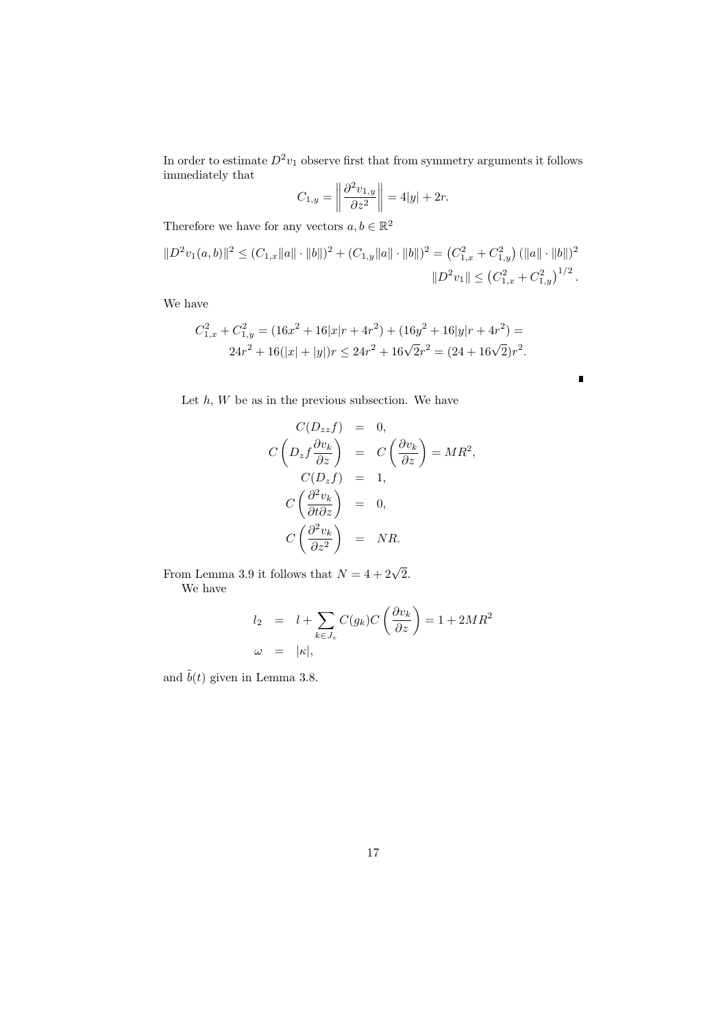In order to estimate  $D^2v_1$  observe first that from symmetry arguments it follows immediately that

$$
C_{1,y} = \left\| \frac{\partial^2 v_{1,y}}{\partial z^2} \right\| = 4|y| + 2r.
$$

Therefore we have for any vectors  $a, b \in \mathbb{R}^2$ 

$$
||D^2v_1(a,b)||^2 \le (C_{1,x}||a|| \cdot ||b||)^2 + (C_{1,y}||a|| \cdot ||b||)^2 = (C_{1,x}^2 + C_{1,y}^2) (||a|| \cdot ||b||)^2
$$
  

$$
||D^2v_1|| \le (C_{1,x}^2 + C_{1,y}^2)^{1/2}.
$$

We have

$$
C_{1,x}^2 + C_{1,y}^2 = (16x^2 + 16|x|r + 4r^2) + (16y^2 + 16|y|r + 4r^2) = 24r^2 + 16(|x| + |y|)r \le 24r^2 + 16\sqrt{2}r^2 = (24 + 16\sqrt{2})r^2.
$$

 $\blacksquare$ 

Let  $h, W$  be as in the previous subsection. We have

$$
C(D_{zz}f) = 0,
$$
  
\n
$$
C\left(D_{z}f\frac{\partial v_{k}}{\partial z}\right) = C\left(\frac{\partial v_{k}}{\partial z}\right) = MR^{2},
$$
  
\n
$$
C(D_{z}f) = 1,
$$
  
\n
$$
C\left(\frac{\partial^{2}v_{k}}{\partial t\partial z}\right) = 0,
$$
  
\n
$$
C\left(\frac{\partial^{2}v_{k}}{\partial z^{2}}\right) = NR.
$$

From Lemma 3.9 it follows that  $N = 4 + 2\sqrt{2}$ . We have

$$
l_2 = l + \sum_{k \in J_v} C(g_k) C\left(\frac{\partial v_k}{\partial z}\right) = 1 + 2MR^2
$$
  

$$
\omega = |\kappa|,
$$

and  $\tilde{b}(t)$  given in Lemma 3.8.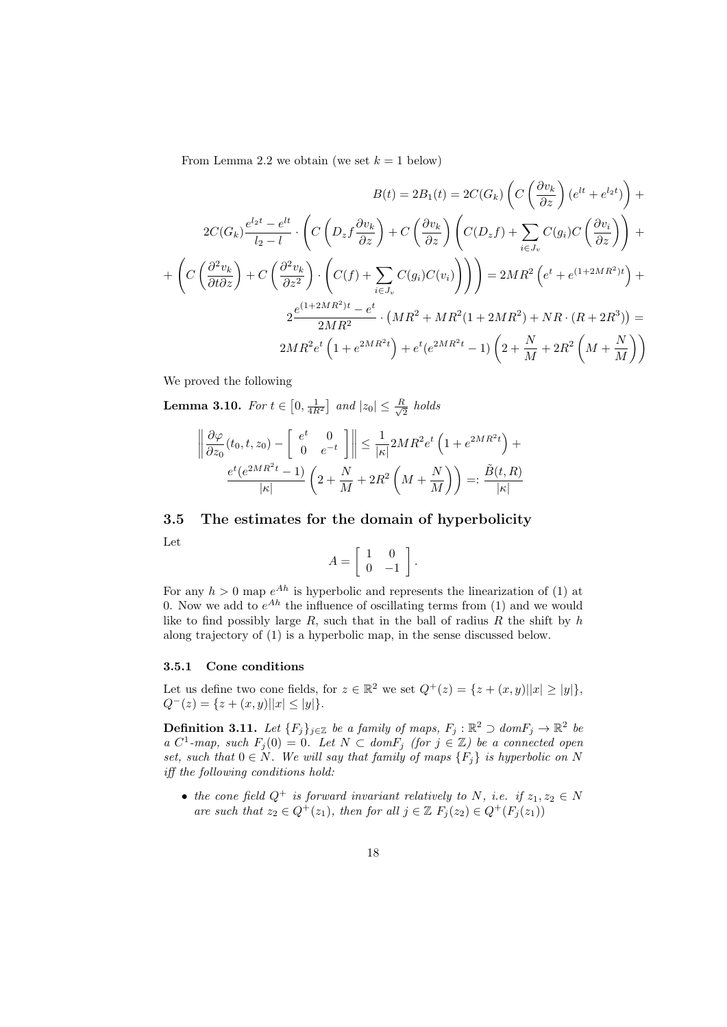From Lemma 2.2 we obtain (we set  $k = 1$  below)

$$
B(t) = 2B_1(t) = 2C(G_k) \left( C\left(\frac{\partial v_k}{\partial z}\right) (e^{lt} + e^{l_2 t}) \right) +
$$
  
\n
$$
2C(G_k) \frac{e^{l_2 t} - e^{lt}}{l_2 - l} \cdot \left( C\left(D_z f \frac{\partial v_k}{\partial z}\right) + C\left(\frac{\partial v_k}{\partial z}\right) \left(C(D_z f) + \sum_{i \in J_v} C(g_i) C\left(\frac{\partial v_i}{\partial z}\right)\right) \right) +
$$
  
\n
$$
+ \left( C\left(\frac{\partial^2 v_k}{\partial t \partial z}\right) + C\left(\frac{\partial^2 v_k}{\partial z^2}\right) \cdot \left(C(f) + \sum_{i \in J_v} C(g_i) C(v_i)\right) \right) = 2MR^2 \left(e^t + e^{(1+2MR^2)t}\right) +
$$
  
\n
$$
2\frac{e^{(1+2MR^2)t} - e^t}{2MR^2} \cdot \left(MR^2 + MR^2(1+2MR^2) + NR \cdot (R + 2R^3)\right) =
$$
  
\n
$$
2MR^2 e^t \left(1 + e^{2MR^2t}\right) + e^t (e^{2MR^2t} - 1) \left(2 + \frac{N}{M} + 2R^2 \left(M + \frac{N}{M}\right)\right)
$$

We proved the following

**Lemma 3.10.** *For*  $t \in [0, \frac{1}{4R^2}]$  *and*  $|z_0| \leq \frac{R}{\sqrt{2}}$ 2 *holds*

$$
\left\|\frac{\partial\varphi}{\partial z_0}(t_0, t, z_0) - \left[\begin{array}{cc} e^t & 0\\ 0 & e^{-t} \end{array}\right]\right\| \le \frac{1}{|\kappa|} 2MR^2 e^t \left(1 + e^{2MR^2t}\right) + \frac{e^t(e^{2MR^2t} - 1)}{|\kappa|} \left(2 + \frac{N}{M} + 2R^2\left(M + \frac{N}{M}\right)\right) =: \frac{\tilde{B}(t, R)}{|\kappa|}
$$

### **3.5 The estimates for the domain of hyperbolicity**

Let

$$
A = \left[ \begin{array}{cc} 1 & 0 \\ 0 & -1 \end{array} \right].
$$

For any  $h > 0$  map  $e^{Ah}$  is hyperbolic and represents the linearization of (1) at 0. Now we add to  $e^{Ah}$  the influence of oscillating terms from  $(1)$  and we would like to find possibly large  $R$ , such that in the ball of radius  $R$  the shift by  $h$ along trajectory of (1) is a hyperbolic map, in the sense discussed below.

### **3.5.1 Cone conditions**

Let us define two cone fields, for  $z \in \mathbb{R}^2$  we set  $Q^+(z) = \{z + (x, y) | |x| \ge |y|\}$ ,  $Q^{-}(z) = \{z + (x, y)||x| \le |y|\}.$ 

**Definition 3.11.** *Let*  $\{F_j\}_{j\in\mathbb{Z}}$  *be a family of maps,*  $F_j : \mathbb{R}^2 \supset domF_j \to \mathbb{R}^2$  *be a*  $C^1$ -map, such  $F_j(0) = 0$ . Let  $N \subset domF_j$  (for  $j \in \mathbb{Z}$ ) be a connected open *set, such that*  $0 \in N$ *. We will say that family of maps*  ${F_i}$  *is hyperbolic on N iff the following conditions hold:*

• *the cone field*  $Q^+$  *is forward invariant relatively to*  $N$ *, i.e. if*  $z_1, z_2 \in N$ *are such that*  $z_2 \in Q^+(z_1)$ *, then for all*  $j \in \mathbb{Z}$   $F_i(z_2) \in Q^+(F_i(z_1))$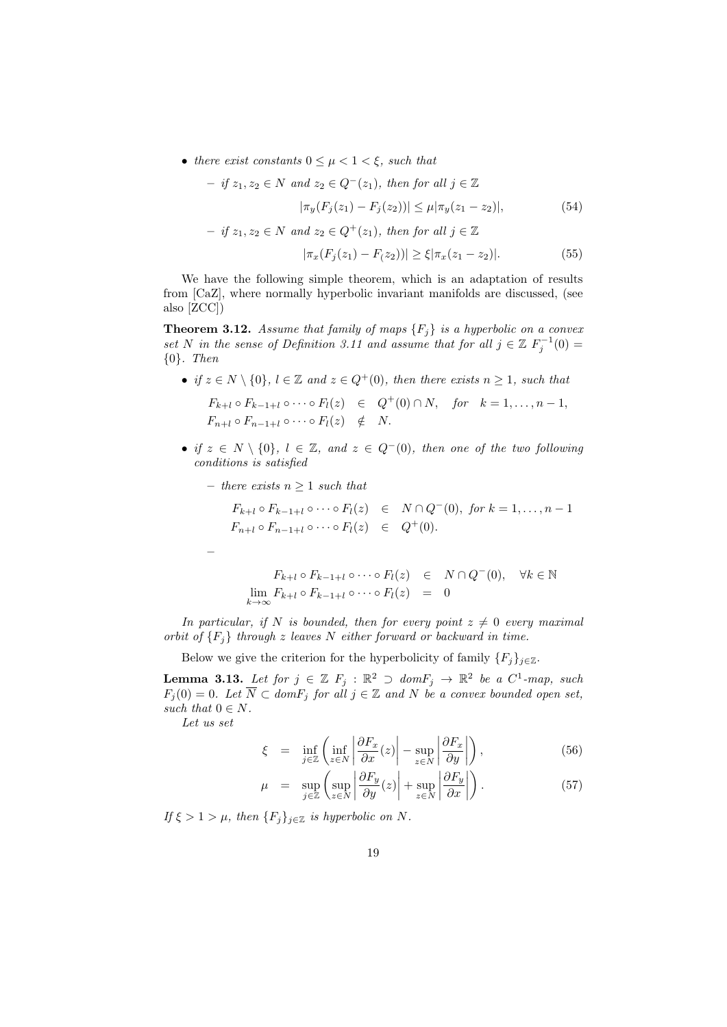• *there exist constants*  $0 \leq \mu < 1 < \xi$ *, such that* 

$$
- if z_1, z_2 \in N \text{ and } z_2 \in Q^-(z_1), \text{ then for all } j \in \mathbb{Z}
$$

$$
|\pi_y(F_j(z_1) - F_j(z_2))| \le \mu |\pi_y(z_1 - z_2)|,
$$

$$
- if z_1, z_2 \in N \text{ and } z_2 \in Q^+(z_1), \text{ then for all } j \in \mathbb{Z}
$$

$$
(54)
$$

$$
|\pi_x(F_j(z_1) - F(z_2))| \ge \xi |\pi_x(z_1 - z_2)|. \tag{55}
$$

We have the following simple theorem, which is an adaptation of results from [CaZ], where normally hyperbolic invariant manifolds are discussed, (see also [ZCC])

**Theorem 3.12.** *Assume that family of maps*  ${F_i}$  *is a hyperbolic on a convex set N in the sense of Definition 3.11 and assume that for all*  $j \in \mathbb{Z}$   $F_j^{-1}(0) =$ *{*0*}. Then*

• if 
$$
z \in N \setminus \{0\}
$$
,  $l \in \mathbb{Z}$  and  $z \in Q^+(0)$ , then there exists  $n \ge 1$ , such that  
\n
$$
F_{k+l} \circ F_{k-1+l} \circ \cdots \circ F_l(z) \in Q^+(0) \cap N, \text{ for } k = 1, ..., n-1,
$$
\n
$$
F_{n+l} \circ F_{n-1+l} \circ \cdots \circ F_l(z) \notin N.
$$

- *• if z ∈ N \ {*0*}, l ∈* Z*, and z ∈ Q−*(0)*, then one of the two following conditions is satisfied*
	- **–** *there exists n ≥* 1 *such that*

*F*<sub>*k*+*l*</sub>  $\circ$  *F*<sub>*k*−1+*l*</sub>  $\circ \cdots \circ F_l(z)$  ∈  $N \cap Q$ <sup>−</sup>(0)*, for*  $k = 1, ..., n - 1$  $F_{n+l} \circ F_{n-1+l} \circ \cdots \circ F_l(z) \in Q^+(0).$ 

$$
F_{k+l} \circ F_{k-1+l} \circ \cdots \circ F_l(z) \in N \cap Q^-(0), \quad \forall k \in \mathbb{N}
$$
  

$$
\lim_{k \to \infty} F_{k+l} \circ F_{k-1+l} \circ \cdots \circ F_l(z) = 0
$$

*In particular, if N is bounded, then for every point*  $z \neq 0$  *every maximal orbit of {Fj} through z leaves N either forward or backward in time.*

Below we give the criterion for the hyperbolicity of family  ${F_j}_{j \in \mathbb{Z}}$ .

**Lemma 3.13.** *Let for*  $j \in \mathbb{Z}$   $F_j$  :  $\mathbb{R}^2$  ⊃  $domF_j$  →  $\mathbb{R}^2$  *be a*  $C^1$ -map, such  $F_j(0) = 0$ *. Let*  $N \subset domF_j$  *for all*  $j \in \mathbb{Z}$  *and*  $N$  *be a convex bounded open set, such that*  $0 \in N$ *.* 

*Let us set*

**–**

$$
\xi = \inf_{j \in \mathbb{Z}} \left( \inf_{z \in N} \left| \frac{\partial F_x}{\partial x}(z) \right| - \sup_{z \in N} \left| \frac{\partial F_x}{\partial y} \right| \right), \tag{56}
$$

$$
\mu = \sup_{j \in \mathbb{Z}} \left( \sup_{z \in N} \left| \frac{\partial F_y}{\partial y}(z) \right| + \sup_{z \in N} \left| \frac{\partial F_y}{\partial x} \right| \right).
$$
 (57)

*If*  $\xi > 1 > \mu$ , then  ${F_i}_{i \in \mathbb{Z}}$  *is hyperbolic on N.*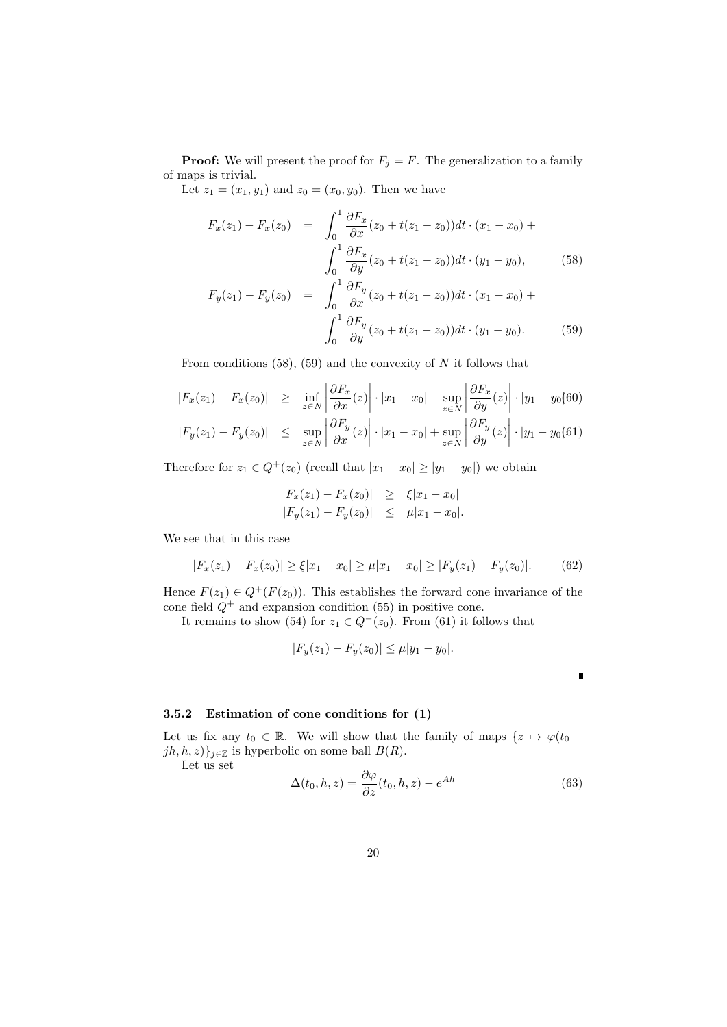**Proof:** We will present the proof for  $F_j = F$ . The generalization to a family of maps is trivial.

Let  $z_1 = (x_1, y_1)$  and  $z_0 = (x_0, y_0)$ . Then we have

$$
F_x(z_1) - F_x(z_0) = \int_0^1 \frac{\partial F_x}{\partial x}(z_0 + t(z_1 - z_0))dt \cdot (x_1 - x_0) + \int_0^1 \frac{\partial F_x}{\partial y}(z_0 + t(z_1 - z_0))dt \cdot (y_1 - y_0), \tag{58}
$$

$$
F_y(z_1) - F_y(z_0) = \int_0^1 \frac{\partial F_y}{\partial x} (z_0 + t(z_1 - z_0)) dt \cdot (x_1 - x_0) + \int_0^1 \frac{\partial F_y}{\partial y} (z_0 + t(z_1 - z_0)) dt \cdot (y_1 - y_0).
$$
 (59)

From conditions (58), (59) and the convexity of *N* it follows that

$$
|F_x(z_1) - F_x(z_0)| \ge \inf_{z \in N} \left| \frac{\partial F_x}{\partial x}(z) \right| \cdot |x_1 - x_0| - \sup_{z \in N} \left| \frac{\partial F_x}{\partial y}(z) \right| \cdot |y_1 - y_0(60)
$$
  

$$
|F_y(z_1) - F_y(z_0)| \le \sup_{z \in N} \left| \frac{\partial F_y}{\partial x}(z) \right| \cdot |x_1 - x_0| + \sup_{z \in N} \left| \frac{\partial F_y}{\partial y}(z) \right| \cdot |y_1 - y_0(61)
$$

Therefore for  $z_1 \in Q^+(z_0)$  (recall that  $|x_1 - x_0| \ge |y_1 - y_0|$ ) we obtain

$$
|F_x(z_1) - F_x(z_0)| \ge \xi |x_1 - x_0|
$$
  
\n
$$
|F_y(z_1) - F_y(z_0)| \le \mu |x_1 - x_0|.
$$

We see that in this case

$$
|F_x(z_1) - F_x(z_0)| \ge \xi |x_1 - x_0| \ge \mu |x_1 - x_0| \ge |F_y(z_1) - F_y(z_0)|. \tag{62}
$$

Hence  $F(z_1) \in Q^+(F(z_0))$ . This establishes the forward cone invariance of the cone field  $Q^+$  and expansion condition (55) in positive cone.

It remains to show (54) for  $z_1 \in Q^-(z_0)$ . From (61) it follows that

$$
|F_y(z_1) - F_y(z_0)| \le \mu |y_1 - y_0|.
$$

 $\blacksquare$ 

### **3.5.2 Estimation of cone conditions for (1)**

Let us fix any  $t_0 \in \mathbb{R}$ . We will show that the family of maps  $\{z \mapsto \varphi(t_0 + z_0)\}$  $jh, h, z)$ <sup>*j*</sup> ${}_{j \in \mathbb{Z}}$  is hyperbolic on some ball *B*(*R*).

Let us set

$$
\Delta(t_0, h, z) = \frac{\partial \varphi}{\partial z}(t_0, h, z) - e^{Ah}
$$
\n(63)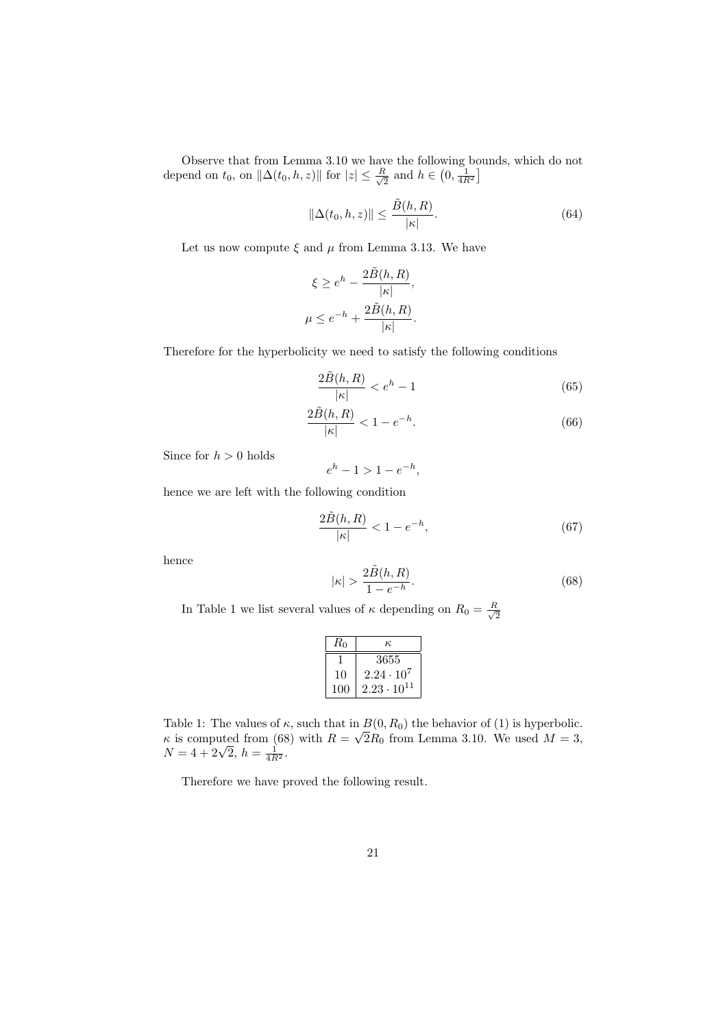Observe that from Lemma 3.10 we have the following bounds, which do not depend on  $t_0$ , on  $\|\Delta(t_0, h, z)\|$  for  $|z| \leq \frac{R}{\sqrt{2}}$  $\frac{\lambda}{2}$  and  $h \in \left(0, \frac{1}{4R^2}\right]$ 

$$
\|\Delta(t_0, h, z)\| \le \frac{\tilde{B}(h, R)}{|\kappa|}.\tag{64}
$$

Let us now compute  $\xi$  and  $\mu$  from Lemma 3.13. We have

$$
\xi \ge e^h - \frac{2\tilde{B}(h, R)}{|\kappa|},
$$
  

$$
\mu \le e^{-h} + \frac{2\tilde{B}(h, R)}{|\kappa|}.
$$

Therefore for the hyperbolicity we need to satisfy the following conditions

$$
\frac{2\tilde{B}(h,R)}{|k|} < e^h - 1\tag{65}
$$

$$
\frac{2\tilde{B}(h,R)}{|\kappa|} < 1 - e^{-h}.\tag{66}
$$

Since for  $h > 0$  holds

 $e^{h} - 1 > 1 - e^{-h}$ 

hence we are left with the following condition

$$
\frac{2\tilde{B}(h,R)}{|\kappa|} < 1 - e^{-h},\tag{67}
$$

hence

$$
|\kappa| > \frac{2\tilde{B}(h,R)}{1 - e^{-h}}.\tag{68}
$$

In Table 1 we list several values of  $\kappa$  depending on  $R_0 = \frac{R}{\sqrt{\kappa}}$  $\overline{2}$ 

| $R_0$ | к.                   |  |
|-------|----------------------|--|
|       | 3655                 |  |
| 10    | $2.24 \cdot 10^7$    |  |
| 100   | $2.23 \cdot 10^{11}$ |  |

Table 1: The values of  $\kappa$ , such that in  $B(0, R_0)$  the behavior of (1) is hyperbolic. *κ* is computed from (68) with  $R = \sqrt{2R_0}$  from Lemma 3.10. We used  $M = 3$ ,  $N = 4 + 2\sqrt{2}$ ,  $h = \frac{1}{4R^2}$ .

Therefore we have proved the following result.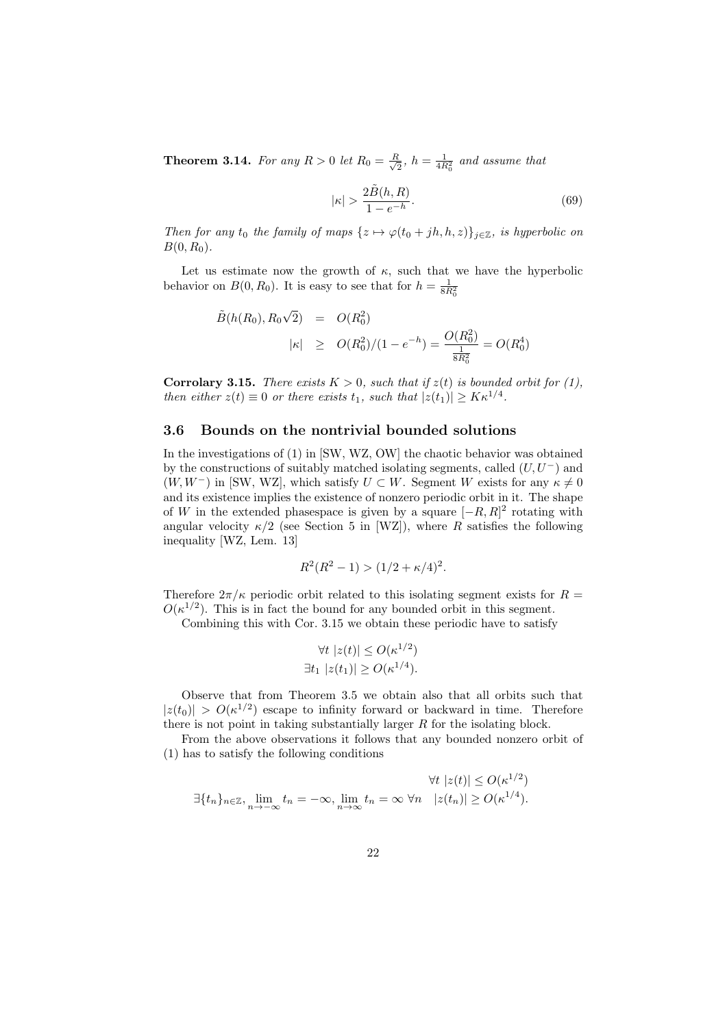**Theorem 3.14.** For any  $R > 0$  let  $R_0 = \frac{R}{\sqrt{2}}$  $\frac{R}{2}$ ,  $h = \frac{1}{4R_0^2}$  and assume that

$$
|\kappa| > \frac{2\tilde{B}(h,R)}{1 - e^{-h}}.\tag{69}
$$

*Then for any t*<sub>0</sub> *the family of maps*  $\{z \mapsto \varphi(t_0 + jh, h, z)\}_{i \in \mathbb{Z}}$ *, is hyperbolic on*  $B(0, R_0)$ .

Let us estimate now the growth of  $\kappa$ , such that we have the hyperbolic behavior on  $B(0, R_0)$ . It is easy to see that for  $h = \frac{1}{8R_0^2}$ 

$$
\tilde{B}(h(R_0), R_0\sqrt{2}) = O(R_0^2)
$$
\n
$$
|\kappa| \ge O(R_0^2)/(1 - e^{-h}) = \frac{O(R_0^2)}{\frac{1}{8R_0^2}} = O(R_0^4)
$$

**Corrolary 3.15.** *There exists*  $K > 0$ *, such that if*  $z(t)$  *is bounded orbit for* (1), *then either*  $z(t) \equiv 0$  *or there exists*  $t_1$ *, such that*  $|z(t_1)| \geq K \kappa^{1/4}$ .

### **3.6 Bounds on the nontrivial bounded solutions**

In the investigations of (1) in [SW, WZ, OW] the chaotic behavior was obtained by the constructions of suitably matched isolating segments, called  $(U, U^-)$  and  $(W, W^-)$  in [SW, WZ], which satisfy  $U \subset W$ . Segment  $W$  exists for any  $\kappa \neq 0$ and its existence implies the existence of nonzero periodic orbit in it. The shape of *W* in the extended phasespace is given by a square [*−R, R*] 2 rotating with angular velocity  $\kappa/2$  (see Section 5 in [WZ]), where *R* satisfies the following inequality [WZ, Lem. 13]

$$
R^2(R^2 - 1) > (1/2 + \kappa/4)^2.
$$

Therefore  $2\pi/\kappa$  periodic orbit related to this isolating segment exists for  $R =$  $O(\kappa^{1/2})$ . This is in fact the bound for any bounded orbit in this segment.

Combining this with Cor. 3.15 we obtain these periodic have to satisfy

$$
\forall t \ |z(t)| \le O(\kappa^{1/2})
$$
  

$$
\exists t_1 \ |z(t_1)| \ge O(\kappa^{1/4}).
$$

Observe that from Theorem 3.5 we obtain also that all orbits such that  $|z(t_0)| > O(\kappa^{1/2})$  escape to infinity forward or backward in time. Therefore there is not point in taking substantially larger *R* for the isolating block.

From the above observations it follows that any bounded nonzero orbit of (1) has to satisfy the following conditions

$$
\exists \{t_n\}_{n\in \mathbb{Z}}, \lim_{n\to -\infty} t_n = -\infty, \lim_{n\to \infty} t_n = \infty \,\forall n \quad |z(t_n)| \ge O(\kappa^{1/2}).
$$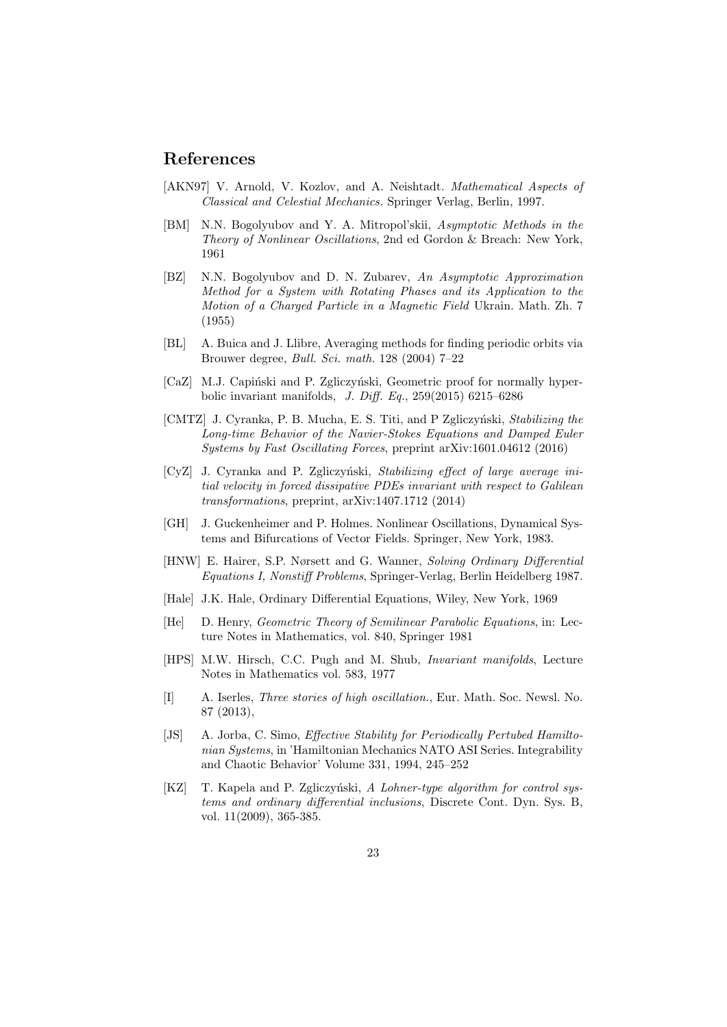# **References**

- [AKN97] V. Arnold, V. Kozlov, and A. Neishtadt. *Mathematical Aspects of Classical and Celestial Mechanics.* Springer Verlag, Berlin, 1997.
- [BM] N.N. Bogolyubov and Y. A. Mitropol'skii, *Asymptotic Methods in the Theory of Nonlinear Oscillations*, 2nd ed Gordon & Breach: New York, 1961
- [BZ] N.N. Bogolyubov and D. N. Zubarev, *An Asymptotic Approximation Method for a System with Rotating Phases and its Application to the Motion of a Charged Particle in a Magnetic Field* Ukrain. Math. Zh. 7 (1955)
- [BL] A. Buica and J. Llibre, Averaging methods for finding periodic orbits via Brouwer degree, *Bull. Sci. math.* 128 (2004) 7–22
- [CaZ] M.J. Capiński and P. Zgliczyński, Geometric proof for normally hyperbolic invariant manifolds, *J. Diff. Eq.*, 259(2015) 6215–6286
- [CMTZ] J. Cyranka, P. B. Mucha, E. S. Titi, and P Zgliczyński, *Stabilizing the Long-time Behavior of the Navier-Stokes Equations and Damped Euler Systems by Fast Oscillating Forces*, preprint arXiv:1601.04612 (2016)
- [CyZ] J. Cyranka and P. Zgliczyński, *Stabilizing effect of large average initial velocity in forced dissipative PDEs invariant with respect to Galilean transformations*, preprint, arXiv:1407.1712 (2014)
- [GH] J. Guckenheimer and P. Holmes. Nonlinear Oscillations, Dynamical Systems and Bifurcations of Vector Fields. Springer, New York, 1983.
- [HNW] E. Hairer, S.P. Nørsett and G. Wanner, *Solving Ordinary Differential Equations I, Nonstiff Problems*, Springer-Verlag, Berlin Heidelberg 1987.
- [Hale] J.K. Hale, Ordinary Differential Equations, Wiley, New York, 1969
- [He] D. Henry, *Geometric Theory of Semilinear Parabolic Equations*, in: Lecture Notes in Mathematics, vol. 840, Springer 1981
- [HPS] M.W. Hirsch, C.C. Pugh and M. Shub, *Invariant manifolds*, Lecture Notes in Mathematics vol. 583, 1977
- [I] A. Iserles, *Three stories of high oscillation.*, Eur. Math. Soc. Newsl. No. 87 (2013),
- [JS] A. Jorba, C. Simo, *Effective Stability for Periodically Pertubed Hamiltonian Systems*, in 'Hamiltonian Mechanics NATO ASI Series. Integrability and Chaotic Behavior' Volume 331, 1994, 245–252
- [KZ] T. Kapela and P. Zgliczyński, *A Lohner-type algorithm for control systems and ordinary differential inclusions*, Discrete Cont. Dyn. Sys. B, vol. 11(2009), 365-385.